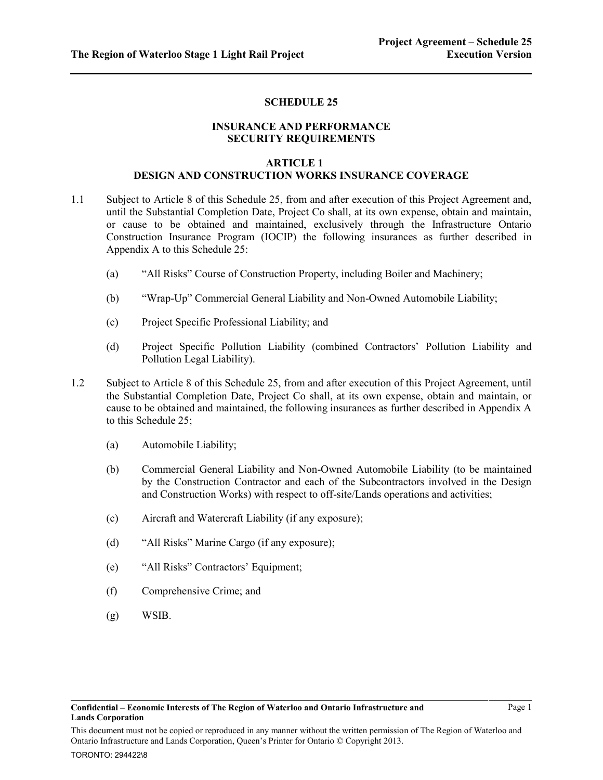## **SCHEDULE 25**

## **INSURANCE AND PERFORMANCE SECURITY REQUIREMENTS**

### **ARTICLE 1 DESIGN AND CONSTRUCTION WORKS INSURANCE COVERAGE**

- <span id="page-0-2"></span><span id="page-0-0"></span>1.1 Subject to Article [8](#page-4-0) of this Schedule 25, from and after execution of this Project Agreement and, until the Substantial Completion Date, Project Co shall, at its own expense, obtain and maintain, or cause to be obtained and maintained, exclusively through the Infrastructure Ontario Construction Insurance Program (IOCIP) the following insurances as further described in Appendix A to this Schedule 25:
	- (a) "All Risks" Course of Construction Property, including Boiler and Machinery;
	- (b) "Wrap-Up" Commercial General Liability and Non-Owned Automobile Liability;
	- (c) Project Specific Professional Liability; and
	- (d) Project Specific Pollution Liability (combined Contractors' Pollution Liability and Pollution Legal Liability).
- <span id="page-0-5"></span><span id="page-0-4"></span><span id="page-0-3"></span><span id="page-0-1"></span>1.2 Subject to Article [8](#page-4-0) of this Schedule 25, from and after execution of this Project Agreement, until the Substantial Completion Date, Project Co shall, at its own expense, obtain and maintain, or cause to be obtained and maintained, the following insurances as further described in Appendix A to this Schedule 25;
	- (a) Automobile Liability;
	- (b) Commercial General Liability and Non-Owned Automobile Liability (to be maintained by the Construction Contractor and each of the Subcontractors involved in the Design and Construction Works) with respect to off-site/Lands operations and activities;
	- (c) Aircraft and Watercraft Liability (if any exposure);
	- (d) "All Risks" Marine Cargo (if any exposure);
	- (e) "All Risks" Contractors' Equipment;
	- (f) Comprehensive Crime; and
	- (g) WSIB.

This document must not be copied or reproduced in any manner without the written permission of The Region of Waterloo and Ontario Infrastructure and Lands Corporation, Queen's Printer for Ontario © Copyright 2013.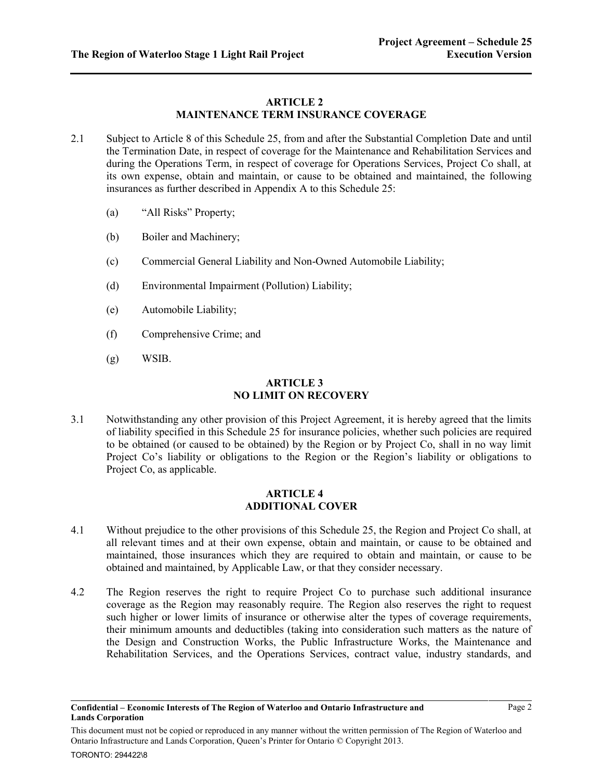## **ARTICLE 2 MAINTENANCE TERM INSURANCE COVERAGE**

- <span id="page-1-4"></span><span id="page-1-3"></span><span id="page-1-2"></span><span id="page-1-1"></span><span id="page-1-0"></span>2.1 Subject to Article [8](#page-4-0) of this Schedule 25, from and after the Substantial Completion Date and until the Termination Date, in respect of coverage for the Maintenance and Rehabilitation Services and during the Operations Term, in respect of coverage for Operations Services, Project Co shall, at its own expense, obtain and maintain, or cause to be obtained and maintained, the following insurances as further described in Appendix A to this Schedule 25:
	- (a) "All Risks" Property;
	- (b) Boiler and Machinery;
	- (c) Commercial General Liability and Non-Owned Automobile Liability;
	- (d) Environmental Impairment (Pollution) Liability;
	- (e) Automobile Liability;
	- (f) Comprehensive Crime; and
	- (g) WSIB.

## **ARTICLE 3 NO LIMIT ON RECOVERY**

<span id="page-1-5"></span>3.1 Notwithstanding any other provision of this Project Agreement, it is hereby agreed that the limits of liability specified in this Schedule 25 for insurance policies, whether such policies are required to be obtained (or caused to be obtained) by the Region or by Project Co, shall in no way limit Project Co's liability or obligations to the Region or the Region's liability or obligations to Project Co, as applicable.

## **ARTICLE 4 ADDITIONAL COVER**

- 4.1 Without prejudice to the other provisions of this Schedule 25, the Region and Project Co shall, at all relevant times and at their own expense, obtain and maintain, or cause to be obtained and maintained, those insurances which they are required to obtain and maintain, or cause to be obtained and maintained, by Applicable Law, or that they consider necessary.
- 4.2 The Region reserves the right to require Project Co to purchase such additional insurance coverage as the Region may reasonably require. The Region also reserves the right to request such higher or lower limits of insurance or otherwise alter the types of coverage requirements, their minimum amounts and deductibles (taking into consideration such matters as the nature of the Design and Construction Works, the Public Infrastructure Works, the Maintenance and Rehabilitation Services, and the Operations Services, contract value, industry standards, and

This document must not be copied or reproduced in any manner without the written permission of The Region of Waterloo and Ontario Infrastructure and Lands Corporation, Queen's Printer for Ontario © Copyright 2013.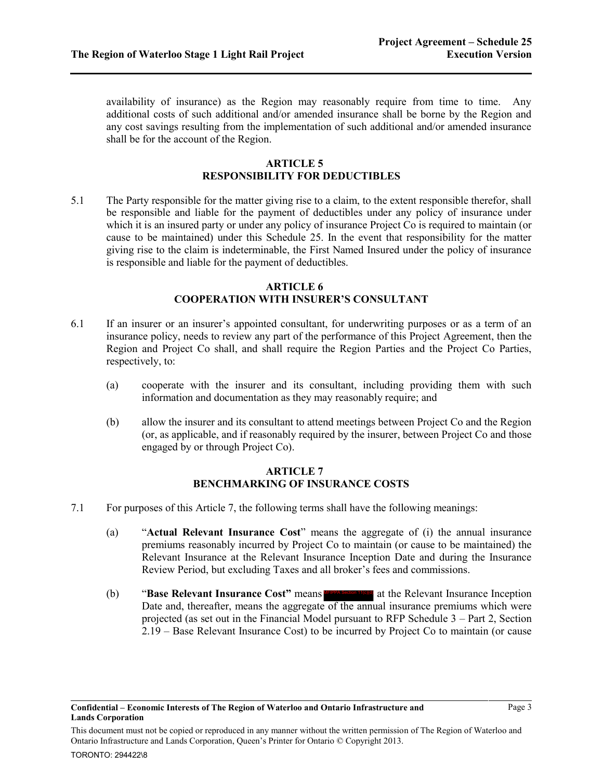availability of insurance) as the Region may reasonably require from time to time. Any additional costs of such additional and/or amended insurance shall be borne by the Region and any cost savings resulting from the implementation of such additional and/or amended insurance shall be for the account of the Region.

### **ARTICLE 5 RESPONSIBILITY FOR DEDUCTIBLES**

5.1 The Party responsible for the matter giving rise to a claim, to the extent responsible therefor, shall be responsible and liable for the payment of deductibles under any policy of insurance under which it is an insured party or under any policy of insurance Project Co is required to maintain (or cause to be maintained) under this Schedule 25. In the event that responsibility for the matter giving rise to the claim is indeterminable, the First Named Insured under the policy of insurance is responsible and liable for the payment of deductibles.

### **ARTICLE 6 COOPERATION WITH INSURER'S CONSULTANT**

- 6.1 If an insurer or an insurer's appointed consultant, for underwriting purposes or as a term of an insurance policy, needs to review any part of the performance of this Project Agreement, then the Region and Project Co shall, and shall require the Region Parties and the Project Co Parties, respectively, to:
	- (a) cooperate with the insurer and its consultant, including providing them with such information and documentation as they may reasonably require; and
	- (b) allow the insurer and its consultant to attend meetings between Project Co and the Region (or, as applicable, and if reasonably required by the insurer, between Project Co and those engaged by or through Project Co).

## **ARTICLE 7 BENCHMARKING OF INSURANCE COSTS**

- <span id="page-2-0"></span>7.1 For purposes of this Articl[e 7,](#page-2-0) the following terms shall have the following meanings:
	- (a) "**Actual Relevant Insurance Cost**" means the aggregate of (i) the annual insurance premiums reasonably incurred by Project Co to maintain (or cause to be maintained) the Relevant Insurance at the Relevant Insurance Inception Date and during the Insurance Review Period, but excluding Taxes and all broker's fees and commissions.
	- (b) **"Base Relevant Insurance Cost"** means **APPA Section 11010** at the Relevant Insurance Inception Date and, thereafter, means the aggregate of the annual insurance premiums which were projected (as set out in the Financial Model pursuant to RFP Schedule 3 – Part 2, Section 2.19 – Base Relevant Insurance Cost) to be incurred by Project Co to maintain (or cause

This document must not be copied or reproduced in any manner without the written permission of The Region of Waterloo and Ontario Infrastructure and Lands Corporation, Queen's Printer for Ontario © Copyright 2013.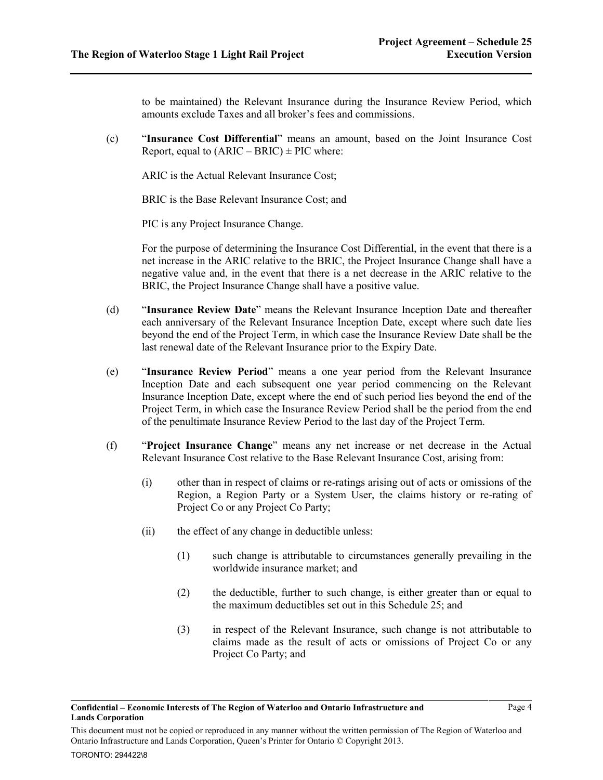to be maintained) the Relevant Insurance during the Insurance Review Period, which amounts exclude Taxes and all broker's fees and commissions.

(c) "**Insurance Cost Differential**" means an amount, based on the Joint Insurance Cost Report, equal to  $(ARIC - BRIC) \pm PIC$  where:

ARIC is the Actual Relevant Insurance Cost;

BRIC is the Base Relevant Insurance Cost; and

PIC is any Project Insurance Change.

For the purpose of determining the Insurance Cost Differential, in the event that there is a net increase in the ARIC relative to the BRIC, the Project Insurance Change shall have a negative value and, in the event that there is a net decrease in the ARIC relative to the BRIC, the Project Insurance Change shall have a positive value.

- (d) "**Insurance Review Date**" means the Relevant Insurance Inception Date and thereafter each anniversary of the Relevant Insurance Inception Date, except where such date lies beyond the end of the Project Term, in which case the Insurance Review Date shall be the last renewal date of the Relevant Insurance prior to the Expiry Date.
- (e) "**Insurance Review Period**" means a one year period from the Relevant Insurance Inception Date and each subsequent one year period commencing on the Relevant Insurance Inception Date, except where the end of such period lies beyond the end of the Project Term, in which case the Insurance Review Period shall be the period from the end of the penultimate Insurance Review Period to the last day of the Project Term.
- (f) "**Project Insurance Change**" means any net increase or net decrease in the Actual Relevant Insurance Cost relative to the Base Relevant Insurance Cost, arising from:
	- (i) other than in respect of claims or re-ratings arising out of acts or omissions of the Region, a Region Party or a System User, the claims history or re-rating of Project Co or any Project Co Party;
	- (ii) the effect of any change in deductible unless:
		- (1) such change is attributable to circumstances generally prevailing in the worldwide insurance market; and
		- (2) the deductible, further to such change, is either greater than or equal to the maximum deductibles set out in this Schedule 25; and
		- (3) in respect of the Relevant Insurance, such change is not attributable to claims made as the result of acts or omissions of Project Co or any Project Co Party; and

This document must not be copied or reproduced in any manner without the written permission of The Region of Waterloo and Ontario Infrastructure and Lands Corporation, Queen's Printer for Ontario © Copyright 2013.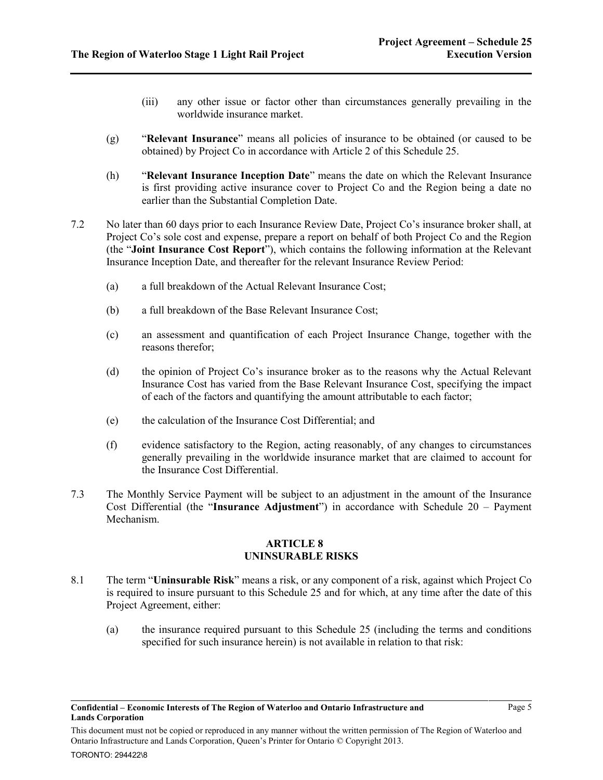- (iii) any other issue or factor other than circumstances generally prevailing in the worldwide insurance market.
- (g) "**Relevant Insurance**" means all policies of insurance to be obtained (or caused to be obtained) by Project Co in accordance with Articl[e 2](#page-1-0) of this Schedule 25.
- (h) "**Relevant Insurance Inception Date**" means the date on which the Relevant Insurance is first providing active insurance cover to Project Co and the Region being a date no earlier than the Substantial Completion Date.
- 7.2 No later than 60 days prior to each Insurance Review Date, Project Co's insurance broker shall, at Project Co's sole cost and expense, prepare a report on behalf of both Project Co and the Region (the "**Joint Insurance Cost Report**"), which contains the following information at the Relevant Insurance Inception Date, and thereafter for the relevant Insurance Review Period:
	- (a) a full breakdown of the Actual Relevant Insurance Cost;
	- (b) a full breakdown of the Base Relevant Insurance Cost;
	- (c) an assessment and quantification of each Project Insurance Change, together with the reasons therefor;
	- (d) the opinion of Project Co's insurance broker as to the reasons why the Actual Relevant Insurance Cost has varied from the Base Relevant Insurance Cost, specifying the impact of each of the factors and quantifying the amount attributable to each factor;
	- (e) the calculation of the Insurance Cost Differential; and
	- (f) evidence satisfactory to the Region, acting reasonably, of any changes to circumstances generally prevailing in the worldwide insurance market that are claimed to account for the Insurance Cost Differential.
- 7.3 The Monthly Service Payment will be subject to an adjustment in the amount of the Insurance Cost Differential (the "**Insurance Adjustment**") in accordance with Schedule 20 – Payment Mechanism.

### **ARTICLE 8 UNINSURABLE RISKS**

- <span id="page-4-0"></span>8.1 The term "**Uninsurable Risk**" means a risk, or any component of a risk, against which Project Co is required to insure pursuant to this Schedule 25 and for which, at any time after the date of this Project Agreement, either:
	- (a) the insurance required pursuant to this Schedule 25 (including the terms and conditions specified for such insurance herein) is not available in relation to that risk:

This document must not be copied or reproduced in any manner without the written permission of The Region of Waterloo and Ontario Infrastructure and Lands Corporation, Queen's Printer for Ontario © Copyright 2013.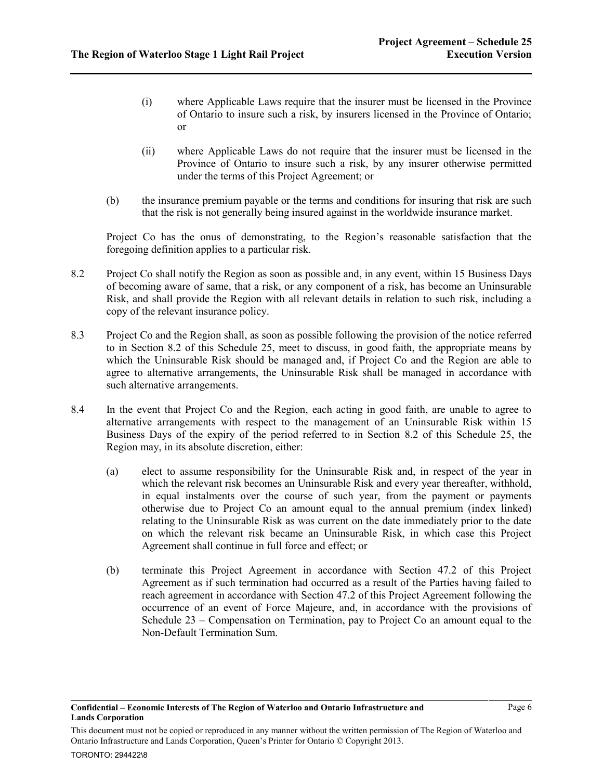- (i) where Applicable Laws require that the insurer must be licensed in the Province of Ontario to insure such a risk, by insurers licensed in the Province of Ontario; or
- (ii) where Applicable Laws do not require that the insurer must be licensed in the Province of Ontario to insure such a risk, by any insurer otherwise permitted under the terms of this Project Agreement; or
- (b) the insurance premium payable or the terms and conditions for insuring that risk are such that the risk is not generally being insured against in the worldwide insurance market.

Project Co has the onus of demonstrating, to the Region's reasonable satisfaction that the foregoing definition applies to a particular risk.

- <span id="page-5-0"></span>8.2 Project Co shall notify the Region as soon as possible and, in any event, within 15 Business Days of becoming aware of same, that a risk, or any component of a risk, has become an Uninsurable Risk, and shall provide the Region with all relevant details in relation to such risk, including a copy of the relevant insurance policy.
- 8.3 Project Co and the Region shall, as soon as possible following the provision of the notice referred to in Section [8.2](#page-5-0) of this Schedule 25, meet to discuss, in good faith, the appropriate means by which the Uninsurable Risk should be managed and, if Project Co and the Region are able to agree to alternative arrangements, the Uninsurable Risk shall be managed in accordance with such alternative arrangements.
- 8.4 In the event that Project Co and the Region, each acting in good faith, are unable to agree to alternative arrangements with respect to the management of an Uninsurable Risk within 15 Business Days of the expiry of the period referred to in Section [8.2](#page-5-0) of this Schedule 25, the Region may, in its absolute discretion, either:
	- (a) elect to assume responsibility for the Uninsurable Risk and, in respect of the year in which the relevant risk becomes an Uninsurable Risk and every year thereafter, withhold, in equal instalments over the course of such year, from the payment or payments otherwise due to Project Co an amount equal to the annual premium (index linked) relating to the Uninsurable Risk as was current on the date immediately prior to the date on which the relevant risk became an Uninsurable Risk, in which case this Project Agreement shall continue in full force and effect; or
	- (b) terminate this Project Agreement in accordance with Section 47.2 of this Project Agreement as if such termination had occurred as a result of the Parties having failed to reach agreement in accordance with Section 47.2 of this Project Agreement following the occurrence of an event of Force Majeure, and, in accordance with the provisions of Schedule 23 – Compensation on Termination, pay to Project Co an amount equal to the Non-Default Termination Sum.

This document must not be copied or reproduced in any manner without the written permission of The Region of Waterloo and Ontario Infrastructure and Lands Corporation, Queen's Printer for Ontario © Copyright 2013.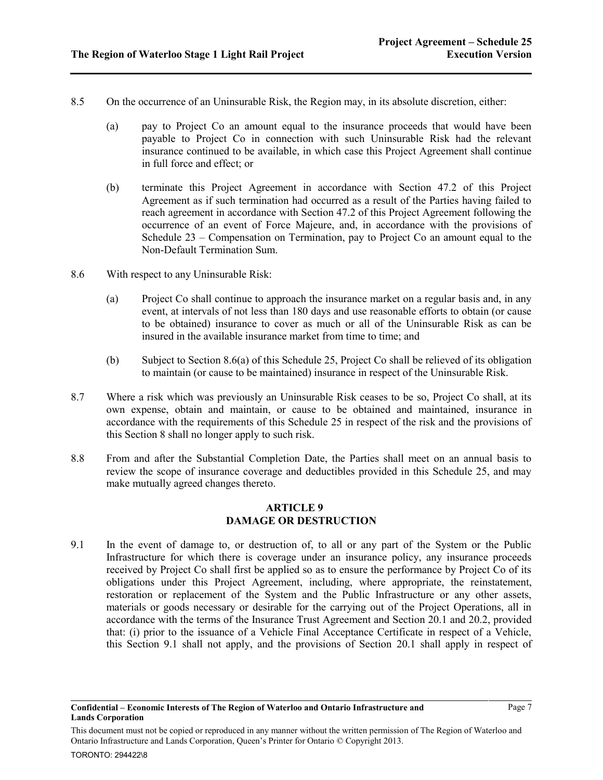- 8.5 On the occurrence of an Uninsurable Risk, the Region may, in its absolute discretion, either:
	- (a) pay to Project Co an amount equal to the insurance proceeds that would have been payable to Project Co in connection with such Uninsurable Risk had the relevant insurance continued to be available, in which case this Project Agreement shall continue in full force and effect; or
	- (b) terminate this Project Agreement in accordance with Section 47.2 of this Project Agreement as if such termination had occurred as a result of the Parties having failed to reach agreement in accordance with Section 47.2 of this Project Agreement following the occurrence of an event of Force Majeure, and, in accordance with the provisions of Schedule 23 – Compensation on Termination, pay to Project Co an amount equal to the Non-Default Termination Sum.
- <span id="page-6-0"></span>8.6 With respect to any Uninsurable Risk:
	- (a) Project Co shall continue to approach the insurance market on a regular basis and, in any event, at intervals of not less than 180 days and use reasonable efforts to obtain (or cause to be obtained) insurance to cover as much or all of the Uninsurable Risk as can be insured in the available insurance market from time to time; and
	- (b) Subject to Section [8.6\(a\)](#page-6-0) of this Schedule 25, Project Co shall be relieved of its obligation to maintain (or cause to be maintained) insurance in respect of the Uninsurable Risk.
- 8.7 Where a risk which was previously an Uninsurable Risk ceases to be so, Project Co shall, at its own expense, obtain and maintain, or cause to be obtained and maintained, insurance in accordance with the requirements of this Schedule 25 in respect of the risk and the provisions of this Section 8 shall no longer apply to such risk.
- 8.8 From and after the Substantial Completion Date, the Parties shall meet on an annual basis to review the scope of insurance coverage and deductibles provided in this Schedule 25, and may make mutually agreed changes thereto.

### **ARTICLE 9 DAMAGE OR DESTRUCTION**

<span id="page-6-1"></span>9.1 In the event of damage to, or destruction of, to all or any part of the System or the Public Infrastructure for which there is coverage under an insurance policy, any insurance proceeds received by Project Co shall first be applied so as to ensure the performance by Project Co of its obligations under this Project Agreement, including, where appropriate, the reinstatement, restoration or replacement of the System and the Public Infrastructure or any other assets, materials or goods necessary or desirable for the carrying out of the Project Operations, all in accordance with the terms of the Insurance Trust Agreement and Section [20.1](#page-12-0) and [20.2,](#page-12-1) provided that: (i) prior to the issuance of a Vehicle Final Acceptance Certificate in respect of a Vehicle, this Section [9.1](#page-6-1) shall not apply, and the provisions of Section [20.1](#page-12-0) shall apply in respect of

This document must not be copied or reproduced in any manner without the written permission of The Region of Waterloo and Ontario Infrastructure and Lands Corporation, Queen's Printer for Ontario © Copyright 2013.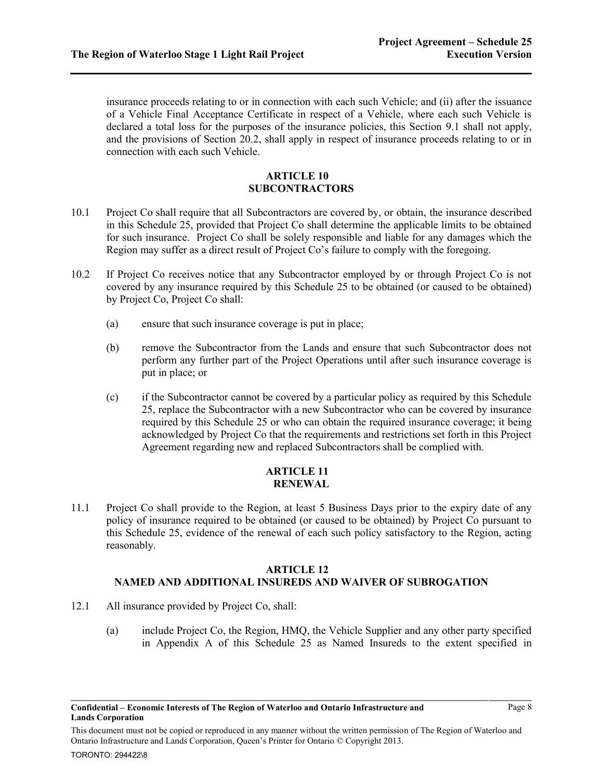insurance proceeds relating to or in connection with each such Vehicle; and (ii) after the issuance of a Vehicle Final Acceptance Certificate in respect of a Vehicle, where each such Vehicle is declared a total loss for the purposes of the insurance policies, this Section [9.1](#page-6-1) shall not apply, and the provisions of Section [20.2,](#page-12-1) shall apply in respect of insurance proceeds relating to or in connection with each such Vehicle.

## **ARTICLE 10 SUBCONTRACTORS**

- 10.1 Project Co shall require that all Subcontractors are covered by, or obtain, the insurance described in this Schedule 25, provided that Project Co shall determine the applicable limits to be obtained for such insurance. Project Co shall be solely responsible and liable for any damages which the Region may suffer as a direct result of Project Co's failure to comply with the foregoing.
- 10.2 If Project Co receives notice that any Subcontractor employed by or through Project Co is not covered by any insurance required by this Schedule 25 to be obtained (or caused to be obtained) by Project Co, Project Co shall:
	- (a) ensure that such insurance coverage is put in place;
	- (b) remove the Subcontractor from the Lands and ensure that such Subcontractor does not perform any further part of the Project Operations until after such insurance coverage is put in place; or
	- (c) if the Subcontractor cannot be covered by a particular policy as required by this Schedule 25, replace the Subcontractor with a new Subcontractor who can be covered by insurance required by this Schedule 25 or who can obtain the required insurance coverage; it being acknowledged by Project Co that the requirements and restrictions set forth in this Project Agreement regarding new and replaced Subcontractors shall be complied with.

### **ARTICLE 11 RENEWAL**

11.1 Project Co shall provide to the Region, at least 5 Business Days prior to the expiry date of any policy of insurance required to be obtained (or caused to be obtained) by Project Co pursuant to this Schedule 25, evidence of the renewal of each such policy satisfactory to the Region, acting reasonably.

## **ARTICLE 12 NAMED AND ADDITIONAL INSUREDS AND WAIVER OF SUBROGATION**

- 12.1 All insurance provided by Project Co, shall:
	- (a) include Project Co, the Region, HMQ, the Vehicle Supplier and any other party specified in Appendix A of this Schedule 25 as Named Insureds to the extent specified in

This document must not be copied or reproduced in any manner without the written permission of The Region of Waterloo and Ontario Infrastructure and Lands Corporation, Queen's Printer for Ontario © Copyright 2013.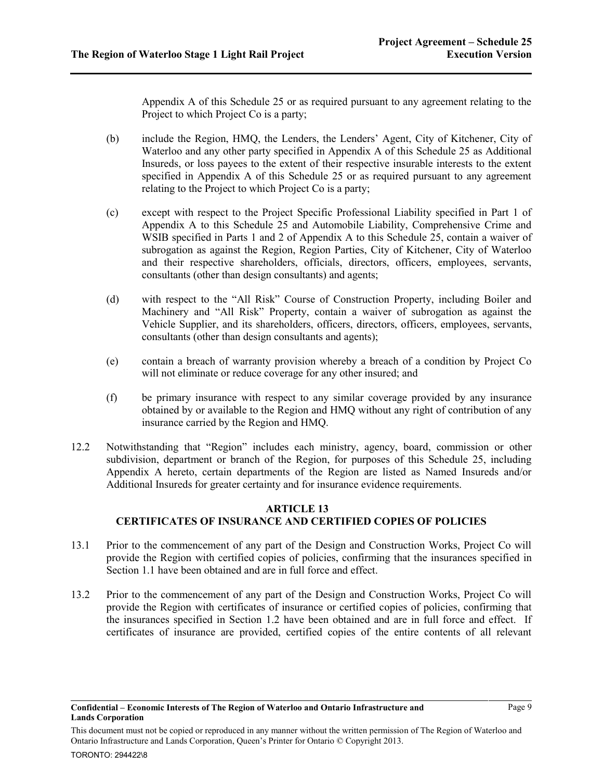Appendix A of this Schedule 25 or as required pursuant to any agreement relating to the Project to which Project Co is a party;

- (b) include the Region, HMQ, the Lenders, the Lenders' Agent, City of Kitchener, City of Waterloo and any other party specified in Appendix A of this Schedule 25 as Additional Insureds, or loss payees to the extent of their respective insurable interests to the extent specified in Appendix A of this Schedule 25 or as required pursuant to any agreement relating to the Project to which Project Co is a party;
- (c) except with respect to the Project Specific Professional Liability specified in Part 1 of Appendix A to this Schedule 25 and Automobile Liability, Comprehensive Crime and WSIB specified in Parts 1 and 2 of Appendix A to this Schedule 25, contain a waiver of subrogation as against the Region, Region Parties, City of Kitchener, City of Waterloo and their respective shareholders, officials, directors, officers, employees, servants, consultants (other than design consultants) and agents;
- (d) with respect to the "All Risk" Course of Construction Property, including Boiler and Machinery and "All Risk" Property, contain a waiver of subrogation as against the Vehicle Supplier, and its shareholders, officers, directors, officers, employees, servants, consultants (other than design consultants and agents);
- (e) contain a breach of warranty provision whereby a breach of a condition by Project Co will not eliminate or reduce coverage for any other insured; and
- (f) be primary insurance with respect to any similar coverage provided by any insurance obtained by or available to the Region and HMQ without any right of contribution of any insurance carried by the Region and HMQ.
- 12.2 Notwithstanding that "Region" includes each ministry, agency, board, commission or other subdivision, department or branch of the Region, for purposes of this Schedule 25, including Appendix A hereto, certain departments of the Region are listed as Named Insureds and/or Additional Insureds for greater certainty and for insurance evidence requirements.

## **ARTICLE 13 CERTIFICATES OF INSURANCE AND CERTIFIED COPIES OF POLICIES**

- 13.1 Prior to the commencement of any part of the Design and Construction Works, Project Co will provide the Region with certified copies of policies, confirming that the insurances specified in Sectio[n 1.1](#page-0-0) have been obtained and are in full force and effect.
- 13.2 Prior to the commencement of any part of the Design and Construction Works, Project Co will provide the Region with certificates of insurance or certified copies of policies, confirming that the insurances specified in Section [1.2](#page-0-1) have been obtained and are in full force and effect. If certificates of insurance are provided, certified copies of the entire contents of all relevant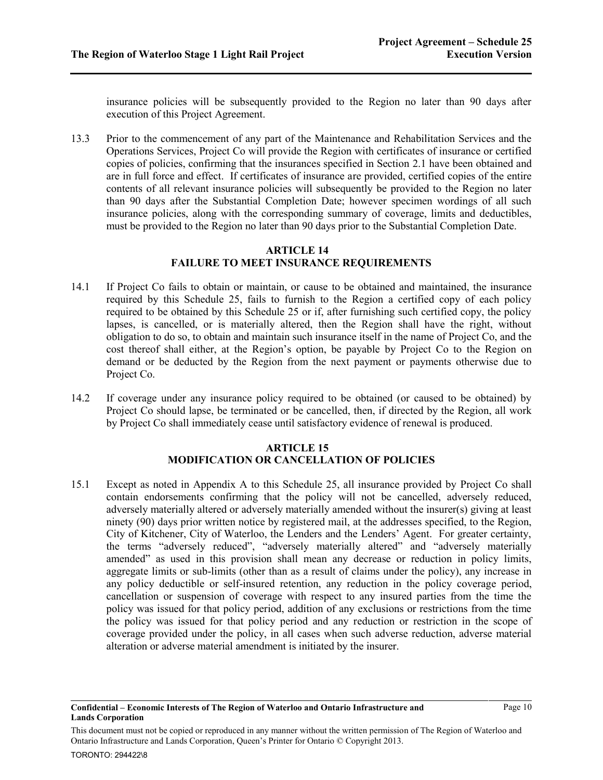insurance policies will be subsequently provided to the Region no later than 90 days after execution of this Project Agreement.

13.3 Prior to the commencement of any part of the Maintenance and Rehabilitation Services and the Operations Services, Project Co will provide the Region with certificates of insurance or certified copies of policies, confirming that the insurances specified in Section [2.1](#page-1-1) have been obtained and are in full force and effect. If certificates of insurance are provided, certified copies of the entire contents of all relevant insurance policies will subsequently be provided to the Region no later than 90 days after the Substantial Completion Date; however specimen wordings of all such insurance policies, along with the corresponding summary of coverage, limits and deductibles, must be provided to the Region no later than 90 days prior to the Substantial Completion Date.

### **ARTICLE 14 FAILURE TO MEET INSURANCE REQUIREMENTS**

- 14.1 If Project Co fails to obtain or maintain, or cause to be obtained and maintained, the insurance required by this Schedule 25, fails to furnish to the Region a certified copy of each policy required to be obtained by this Schedule 25 or if, after furnishing such certified copy, the policy lapses, is cancelled, or is materially altered, then the Region shall have the right, without obligation to do so, to obtain and maintain such insurance itself in the name of Project Co, and the cost thereof shall either, at the Region's option, be payable by Project Co to the Region on demand or be deducted by the Region from the next payment or payments otherwise due to Project Co.
- 14.2 If coverage under any insurance policy required to be obtained (or caused to be obtained) by Project Co should lapse, be terminated or be cancelled, then, if directed by the Region, all work by Project Co shall immediately cease until satisfactory evidence of renewal is produced.

## **ARTICLE 15 MODIFICATION OR CANCELLATION OF POLICIES**

15.1 Except as noted in Appendix A to this Schedule 25, all insurance provided by Project Co shall contain endorsements confirming that the policy will not be cancelled, adversely reduced, adversely materially altered or adversely materially amended without the insurer(s) giving at least ninety (90) days prior written notice by registered mail, at the addresses specified, to the Region, City of Kitchener, City of Waterloo, the Lenders and the Lenders' Agent. For greater certainty, the terms "adversely reduced", "adversely materially altered" and "adversely materially amended" as used in this provision shall mean any decrease or reduction in policy limits, aggregate limits or sub-limits (other than as a result of claims under the policy), any increase in any policy deductible or self-insured retention, any reduction in the policy coverage period, cancellation or suspension of coverage with respect to any insured parties from the time the policy was issued for that policy period, addition of any exclusions or restrictions from the time the policy was issued for that policy period and any reduction or restriction in the scope of coverage provided under the policy, in all cases when such adverse reduction, adverse material alteration or adverse material amendment is initiated by the insurer.

This document must not be copied or reproduced in any manner without the written permission of The Region of Waterloo and Ontario Infrastructure and Lands Corporation, Queen's Printer for Ontario © Copyright 2013.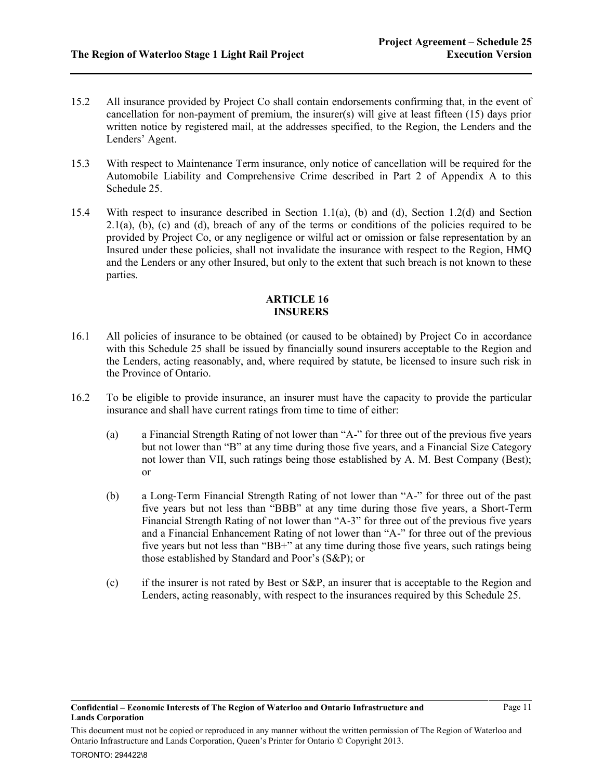- 15.2 All insurance provided by Project Co shall contain endorsements confirming that, in the event of cancellation for non-payment of premium, the insurer(s) will give at least fifteen  $(15)$  days prior written notice by registered mail, at the addresses specified, to the Region, the Lenders and the Lenders' Agent.
- <span id="page-10-0"></span>15.3 With respect to Maintenance Term insurance, only notice of cancellation will be required for the Automobile Liability and Comprehensive Crime described in Part 2 of Appendix A to this Schedule 25.
- 15.4 With respect to insurance described in Section [1.1\(a\),](#page-0-2) [\(b\)](#page-0-3) and [\(d\),](#page-0-4) Section [1.2\(d\)](#page-0-5) and Section  $2.1(a)$ , [\(b\),](#page-1-3) [\(c\)](#page-1-4) and [\(d\),](#page-1-5) breach of any of the terms or conditions of the policies required to be provided by Project Co, or any negligence or wilful act or omission or false representation by an Insured under these policies, shall not invalidate the insurance with respect to the Region, HMQ and the Lenders or any other Insured, but only to the extent that such breach is not known to these parties.

## **ARTICLE 16 INSURERS**

- 16.1 All policies of insurance to be obtained (or caused to be obtained) by Project Co in accordance with this Schedule 25 shall be issued by financially sound insurers acceptable to the Region and the Lenders, acting reasonably, and, where required by statute, be licensed to insure such risk in the Province of Ontario.
- 16.2 To be eligible to provide insurance, an insurer must have the capacity to provide the particular insurance and shall have current ratings from time to time of either:
	- (a) a Financial Strength Rating of not lower than "A-" for three out of the previous five years but not lower than "B" at any time during those five years, and a Financial Size Category not lower than VII, such ratings being those established by A. M. Best Company (Best); or
	- (b) a Long-Term Financial Strength Rating of not lower than "A-" for three out of the past five years but not less than "BBB" at any time during those five years, a Short-Term Financial Strength Rating of not lower than "A-3" for three out of the previous five years and a Financial Enhancement Rating of not lower than "A-" for three out of the previous five years but not less than "BB+" at any time during those five years, such ratings being those established by Standard and Poor's (S&P); or
	- (c) if the insurer is not rated by Best or S&P, an insurer that is acceptable to the Region and Lenders, acting reasonably, with respect to the insurances required by this Schedule 25.

This document must not be copied or reproduced in any manner without the written permission of The Region of Waterloo and Ontario Infrastructure and Lands Corporation, Queen's Printer for Ontario © Copyright 2013.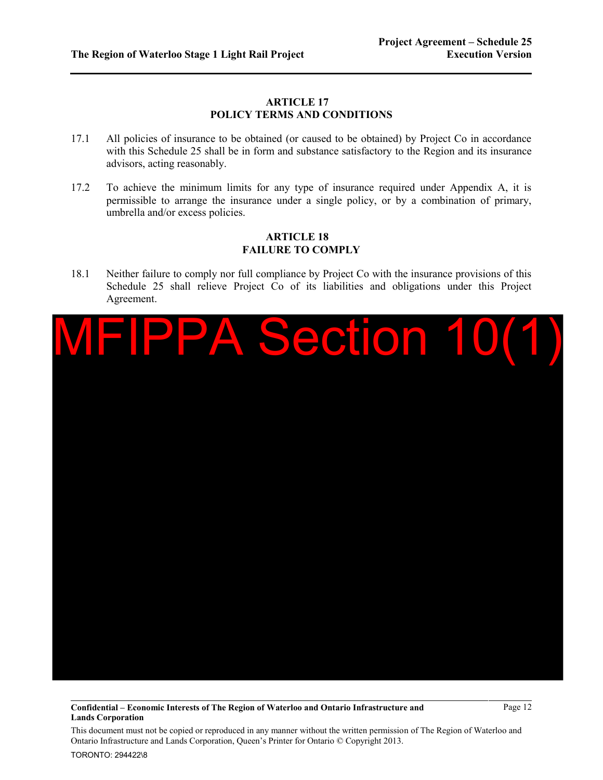### **ARTICLE 17 POLICY TERMS AND CONDITIONS**

- 17.1 All policies of insurance to be obtained (or caused to be obtained) by Project Co in accordance with this Schedule 25 shall be in form and substance satisfactory to the Region and its insurance advisors, acting reasonably.
- 17.2 To achieve the minimum limits for any type of insurance required under Appendix A, it is permissible to arrange the insurance under a single policy, or by a combination of primary, umbrella and/or excess policies.

## **ARTICLE 18 FAILURE TO COMPLY**

18.1 Neither failure to comply nor full compliance by Project Co with the insurance provisions of this Schedule 25 shall relieve Project Co of its liabilities and obligations under this Project Agreement.



**Confidential – Economic Interests of The Region of Waterloo and Ontario Infrastructure and Lands Corporation**

Page 12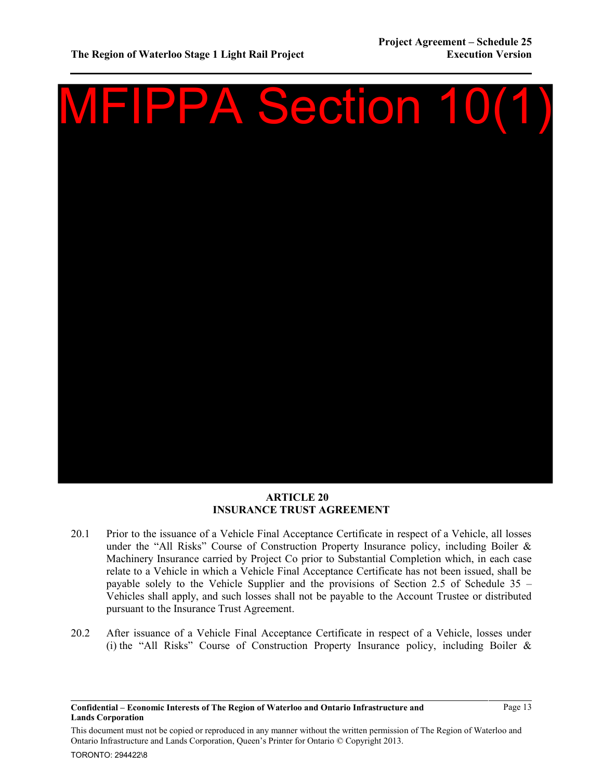

## **ARTICLE 20 INSURANCE TRUST AGREEMENT**

- <span id="page-12-0"></span>20.1 Prior to the issuance of a Vehicle Final Acceptance Certificate in respect of a Vehicle, all losses under the "All Risks" Course of Construction Property Insurance policy, including Boiler & Machinery Insurance carried by Project Co prior to Substantial Completion which, in each case relate to a Vehicle in which a Vehicle Final Acceptance Certificate has not been issued, shall be payable solely to the Vehicle Supplier and the provisions of Section 2.5 of Schedule 35 – Vehicles shall apply, and such losses shall not be payable to the Account Trustee or distributed pursuant to the Insurance Trust Agreement.
- <span id="page-12-1"></span>20.2 After issuance of a Vehicle Final Acceptance Certificate in respect of a Vehicle, losses under (i) the "All Risks" Course of Construction Property Insurance policy, including Boiler  $\&$

**Confidential – Economic Interests of The Region of Waterloo and Ontario Infrastructure and Lands Corporation**

Page 13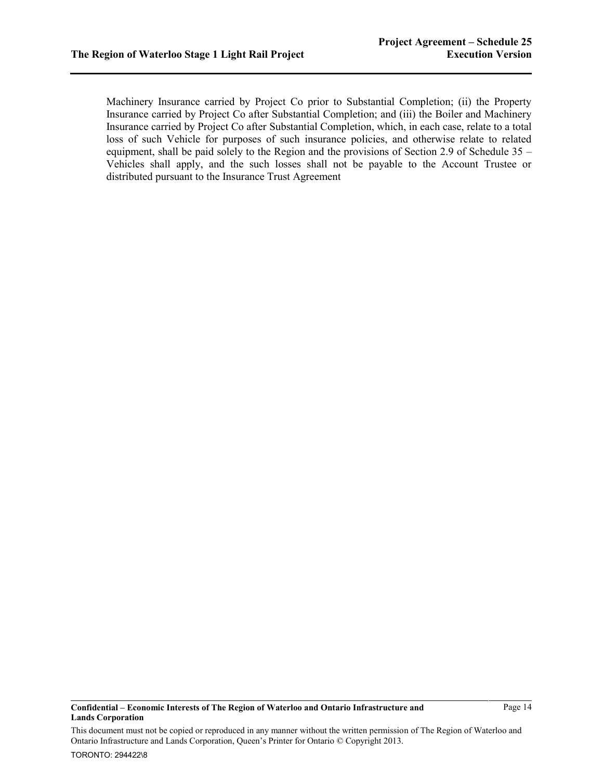Machinery Insurance carried by Project Co prior to Substantial Completion; (ii) the Property Insurance carried by Project Co after Substantial Completion; and (iii) the Boiler and Machinery Insurance carried by Project Co after Substantial Completion, which, in each case, relate to a total loss of such Vehicle for purposes of such insurance policies, and otherwise relate to related equipment, shall be paid solely to the Region and the provisions of Section 2.9 of Schedule 35 – Vehicles shall apply, and the such losses shall not be payable to the Account Trustee or distributed pursuant to the Insurance Trust Agreement

**Confidential – Economic Interests of The Region of Waterloo and Ontario Infrastructure and Lands Corporation**

Page 14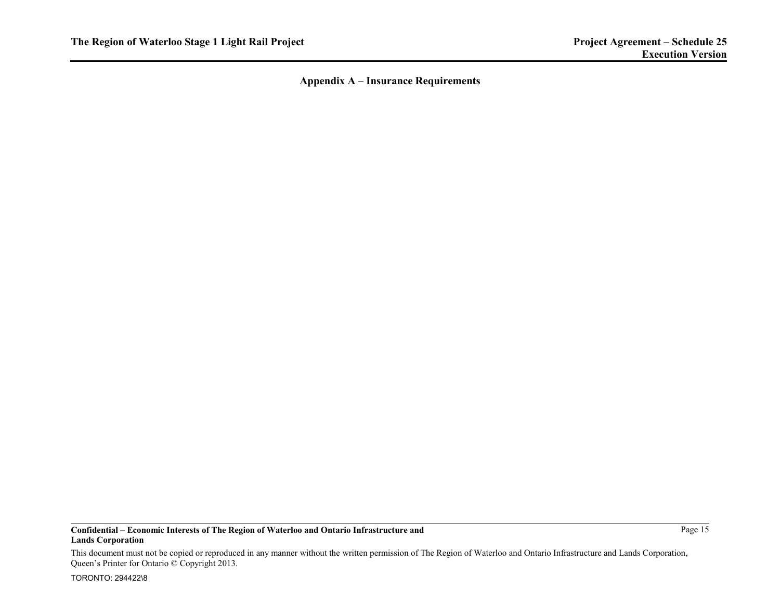**Appendix A – Insurance Requirements** 

#### **Confidential – Economic Interests of The Region of Waterloo and Ontario Infrastructure and Lands Corporation**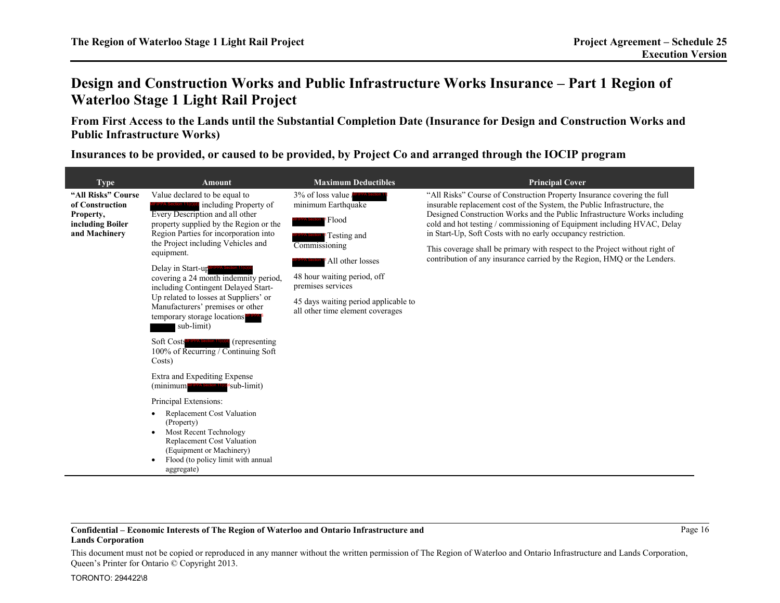# **Design and Construction Works and Public Infrastructure Works Insurance – Part 1 Region of Waterloo Stage 1 Light Rail Project**

**From First Access to the Lands until the Substantial Completion Date (Insurance for Design and Construction Works and Public Infrastructure Works)** 

**Insurances to be provided, or caused to be provided, by Project Co and arranged through the IOCIP program** 

| <b>Type</b>                                                                             | <b>Amount</b>                                                                                                                                                                                                                                                                                                                                                                                                                                                                    | <b>Maximum Deductibles</b>                                                                                                                                                                                                                       | <b>Principal Cover</b>                                                                                                                                                                                                                                                                                                                                                                                                                                                                                                                 |
|-----------------------------------------------------------------------------------------|----------------------------------------------------------------------------------------------------------------------------------------------------------------------------------------------------------------------------------------------------------------------------------------------------------------------------------------------------------------------------------------------------------------------------------------------------------------------------------|--------------------------------------------------------------------------------------------------------------------------------------------------------------------------------------------------------------------------------------------------|----------------------------------------------------------------------------------------------------------------------------------------------------------------------------------------------------------------------------------------------------------------------------------------------------------------------------------------------------------------------------------------------------------------------------------------------------------------------------------------------------------------------------------------|
| "All Risks" Course<br>of Construction<br>Property,<br>including Boiler<br>and Machinery | Value declared to be equal to<br>including Property of<br>Every Description and all other<br>property supplied by the Region or the<br>Region Parties for incorporation into<br>the Project including Vehicles and<br>equipment.<br>Delay in Start-up<br>covering a 24 month indemnity period,<br>including Contingent Delayed Start-<br>Up related to losses at Suppliers' or<br>Manufacturers' premises or other<br>temporary storage locations <sup>MFPPA</sup><br>sub-limit) | 3% of loss value<br>minimum Earthquake<br><sup>1</sup> Flood<br>Testing and<br>Commissioning<br>All other losses<br>48 hour waiting period, off<br>premises services<br>45 days waiting period applicable to<br>all other time element coverages | "All Risks" Course of Construction Property Insurance covering the full<br>insurable replacement cost of the System, the Public Infrastructure, the<br>Designed Construction Works and the Public Infrastructure Works including<br>cold and hot testing / commissioning of Equipment including HVAC, Delay<br>in Start-Up, Soft Costs with no early occupancy restriction.<br>This coverage shall be primary with respect to the Project without right of<br>contribution of any insurance carried by the Region, HMQ or the Lenders. |
|                                                                                         | Soft Costs<br>(representing)<br>100% of Recurring / Continuing Soft<br>Costs)                                                                                                                                                                                                                                                                                                                                                                                                    |                                                                                                                                                                                                                                                  |                                                                                                                                                                                                                                                                                                                                                                                                                                                                                                                                        |
|                                                                                         | Extra and Expediting Expense<br>sub-limit)<br>(minimum MFIPPA Section 11(                                                                                                                                                                                                                                                                                                                                                                                                        |                                                                                                                                                                                                                                                  |                                                                                                                                                                                                                                                                                                                                                                                                                                                                                                                                        |
|                                                                                         | Principal Extensions:<br>Replacement Cost Valuation<br>٠<br>(Property)<br>Most Recent Technology<br><b>Replacement Cost Valuation</b><br>(Equipment or Machinery)<br>Flood (to policy limit with annual<br>aggregate)                                                                                                                                                                                                                                                            |                                                                                                                                                                                                                                                  |                                                                                                                                                                                                                                                                                                                                                                                                                                                                                                                                        |

#### **Confidential – Economic Interests of The Region of Waterloo and Ontario Infrastructure and Lands Corporation**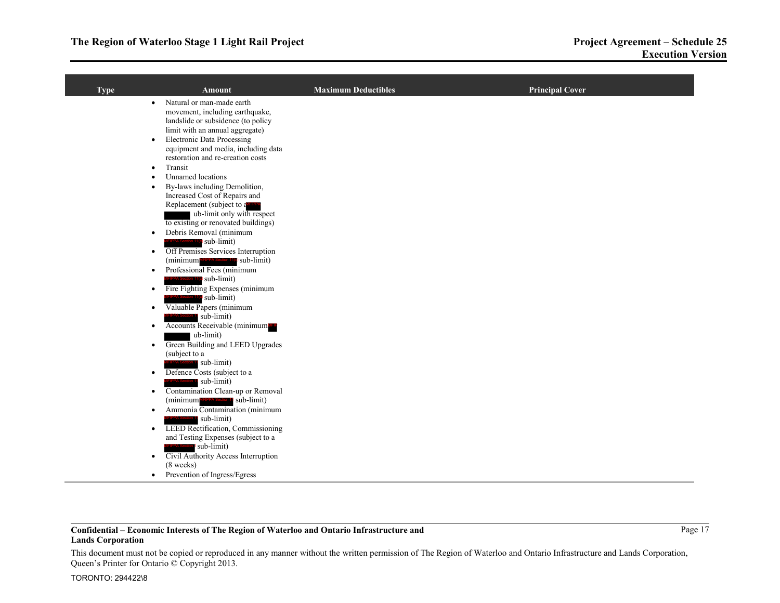| <b>Type</b> | Amount                                                                                                                                                                                                                                                                                                                                     | <b>Maximum Deductibles</b> | <b>Principal Cover</b> |
|-------------|--------------------------------------------------------------------------------------------------------------------------------------------------------------------------------------------------------------------------------------------------------------------------------------------------------------------------------------------|----------------------------|------------------------|
|             | Natural or man-made earth<br>$\bullet$<br>movement, including earthquake,<br>landslide or subsidence (to policy<br>limit with an annual aggregate)<br><b>Electronic Data Processing</b><br>$\bullet$<br>equipment and media, including data<br>restoration and re-creation costs<br>Transit<br>$\bullet$<br>Unnamed locations<br>$\bullet$ |                            |                        |
|             | By-laws including Demolition,<br>$\bullet$<br>Increased Cost of Repairs and<br>Replacement (subject to a <sup>MFIPPA</sup><br>ub-limit only with respect<br>to existing or renovated buildings)<br>Debris Removal (minimum<br>$\bullet$                                                                                                    |                            |                        |
|             | <b>IPPA Section 11(c)</b> sub-limit)<br>Off Premises Services Interruption<br>$\bullet$<br>(minimum MFIPPA Section 11(c) sub-limit)                                                                                                                                                                                                        |                            |                        |
|             | Professional Fees (minimum<br>$\bullet$<br>PPA Section 11( <sup>o</sup> ) sub-limit)<br>Fire Fighting Expenses (minimum<br>$\bullet$<br>PPA Section 11(c) sub-limit)                                                                                                                                                                       |                            |                        |
|             | Valuable Papers (minimum<br>٠<br>sub-limit)<br>Accounts Receivable (minimum MHP<br>$\bullet$                                                                                                                                                                                                                                               |                            |                        |
|             | ub-limit)<br>Green Building and LEED Upgrades<br>$\bullet$<br>(subject to a<br><b>PPA</b> Section 1' sub-limit)                                                                                                                                                                                                                            |                            |                        |
|             | Defence Costs (subject to a<br>$\bullet$<br>sub-limit)<br>Contamination Clean-up or Removal<br>$\bullet$<br>(minimum MFIPPA Section 1, sub-limit)                                                                                                                                                                                          |                            |                        |
|             | Ammonia Contamination (minimum<br>$\bullet$<br><b>PPA</b> Section 11 sub-limit)<br>LEED Rectification, Commissioning<br>$\bullet$                                                                                                                                                                                                          |                            |                        |
|             | and Testing Expenses (subject to a<br><b>PPA Section</b> sub-limit)<br>Civil Authority Access Interruption<br>$\bullet$<br>$(8$ weeks)                                                                                                                                                                                                     |                            |                        |
|             | Prevention of Ingress/Egress<br>$\bullet$                                                                                                                                                                                                                                                                                                  |                            |                        |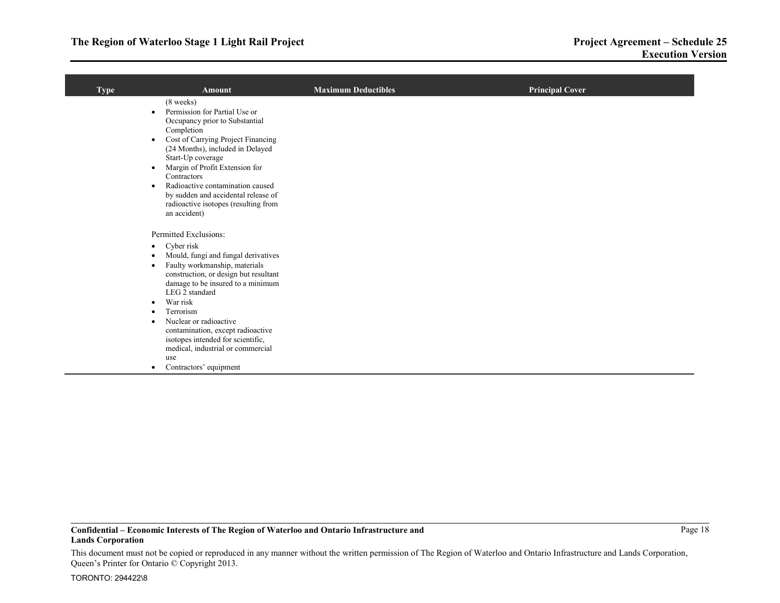| <b>Type</b> | <b>Amount</b>                                                                                                                                                                                                                                                                                                                                                                                                                                                                                             | <b>Maximum Deductibles</b> | <b>Principal Cover</b> |
|-------------|-----------------------------------------------------------------------------------------------------------------------------------------------------------------------------------------------------------------------------------------------------------------------------------------------------------------------------------------------------------------------------------------------------------------------------------------------------------------------------------------------------------|----------------------------|------------------------|
|             | $(8$ weeks)<br>Permission for Partial Use or<br>$\bullet$<br>Occupancy prior to Substantial<br>Completion<br>Cost of Carrying Project Financing<br>$\bullet$<br>(24 Months), included in Delayed<br>Start-Up coverage<br>Margin of Profit Extension for<br>٠<br>Contractors<br>Radioactive contamination caused<br>$\bullet$<br>by sudden and accidental release of<br>radioactive isotopes (resulting from<br>an accident)                                                                               |                            |                        |
|             | Permitted Exclusions:<br>Cyber risk<br>$\bullet$<br>Mould, fungi and fungal derivatives<br>$\bullet$<br>Faulty workmanship, materials<br>$\bullet$<br>construction, or design but resultant<br>damage to be insured to a minimum<br>LEG 2 standard<br>War risk<br>$\bullet$<br>Terrorism<br>$\bullet$<br>Nuclear or radioactive<br>$\bullet$<br>contamination, except radioactive<br>isotopes intended for scientific,<br>medical, industrial or commercial<br>use<br>Contractors' equipment<br>$\bullet$ |                            |                        |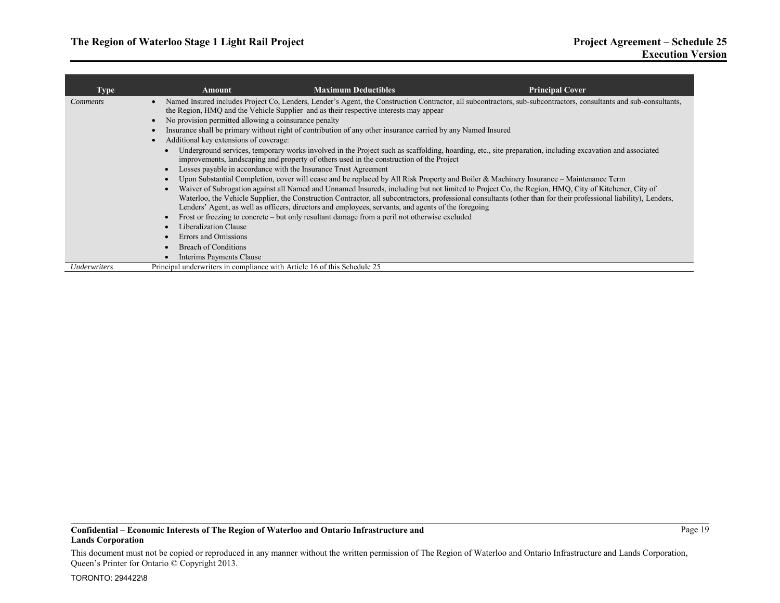| Type            | Amount                                                                                                                                 | <b>Maximum Deductibles</b>                                                                                                                                                                           | <b>Principal Cover</b>                                                                                                                                                                                                                                                                                                  |
|-----------------|----------------------------------------------------------------------------------------------------------------------------------------|------------------------------------------------------------------------------------------------------------------------------------------------------------------------------------------------------|-------------------------------------------------------------------------------------------------------------------------------------------------------------------------------------------------------------------------------------------------------------------------------------------------------------------------|
| <i>Comments</i> |                                                                                                                                        | the Region, HMQ and the Vehicle Supplier and as their respective interests may appear                                                                                                                | Named Insured includes Project Co, Lenders, Lender's Agent, the Construction Contractor, all subcontractors, sub-subcontractors, consultants and sub-consultants,                                                                                                                                                       |
|                 | No provision permitted allowing a coinsurance penalty                                                                                  |                                                                                                                                                                                                      |                                                                                                                                                                                                                                                                                                                         |
|                 |                                                                                                                                        | Insurance shall be primary without right of contribution of any other insurance carried by any Named Insured                                                                                         |                                                                                                                                                                                                                                                                                                                         |
|                 | Additional key extensions of coverage:                                                                                                 |                                                                                                                                                                                                      |                                                                                                                                                                                                                                                                                                                         |
|                 |                                                                                                                                        | improvements, landscaping and property of others used in the construction of the Project                                                                                                             | Underground services, temporary works involved in the Project such as scaffolding, hoarding, etc., site preparation, including excavation and associated                                                                                                                                                                |
|                 |                                                                                                                                        | Losses payable in accordance with the Insurance Trust Agreement                                                                                                                                      |                                                                                                                                                                                                                                                                                                                         |
|                 | Upon Substantial Completion, cover will cease and be replaced by All Risk Property and Boiler & Machinery Insurance – Maintenance Term |                                                                                                                                                                                                      |                                                                                                                                                                                                                                                                                                                         |
|                 |                                                                                                                                        | Lenders' Agent, as well as officers, directors and employees, servants, and agents of the foregoing<br>Frost or freezing to concrete – but only resultant damage from a peril not otherwise excluded | Waiver of Subrogation against all Named and Unnamed Insureds, including but not limited to Project Co, the Region, HMQ, City of Kitchener, City of<br>Waterloo, the Vehicle Supplier, the Construction Contractor, all subcontractors, professional consultants (other than for their professional liability), Lenders, |
|                 | Liberalization Clause                                                                                                                  |                                                                                                                                                                                                      |                                                                                                                                                                                                                                                                                                                         |
|                 | Errors and Omissions                                                                                                                   |                                                                                                                                                                                                      |                                                                                                                                                                                                                                                                                                                         |
|                 | <b>Breach of Conditions</b>                                                                                                            |                                                                                                                                                                                                      |                                                                                                                                                                                                                                                                                                                         |
|                 | Interims Payments Clause                                                                                                               |                                                                                                                                                                                                      |                                                                                                                                                                                                                                                                                                                         |
| Underwriters    | Principal underwriters in compliance with Article 16 of this Schedule 25                                                               |                                                                                                                                                                                                      |                                                                                                                                                                                                                                                                                                                         |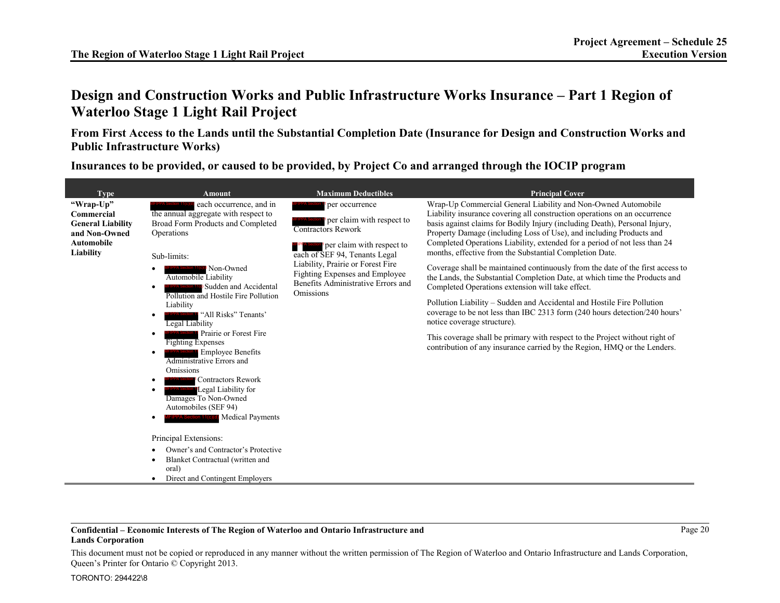# **Design and Construction Works and Public Infrastructure Works Insurance – Part 1 Region of Waterloo Stage 1 Light Rail Project**

**From First Access to the Lands until the Substantial Completion Date (Insurance for Design and Construction Works and Public Infrastructure Works)** 

**Insurances to be provided, or caused to be provided, by Project Co and arranged through the IOCIP program** 

|                                                                                                                       | <b>Amount</b>                                                                                                                                                                                                                                                                                                                                                                                                               |                                                                                                                                                                                                                                                                                                |                                                                                                                                                                                                                                                                                                                                                                                                                                                                                                                                                                                                                                                                                                                                                                                                                                                                                                                                                                                                                                         |
|-----------------------------------------------------------------------------------------------------------------------|-----------------------------------------------------------------------------------------------------------------------------------------------------------------------------------------------------------------------------------------------------------------------------------------------------------------------------------------------------------------------------------------------------------------------------|------------------------------------------------------------------------------------------------------------------------------------------------------------------------------------------------------------------------------------------------------------------------------------------------|-----------------------------------------------------------------------------------------------------------------------------------------------------------------------------------------------------------------------------------------------------------------------------------------------------------------------------------------------------------------------------------------------------------------------------------------------------------------------------------------------------------------------------------------------------------------------------------------------------------------------------------------------------------------------------------------------------------------------------------------------------------------------------------------------------------------------------------------------------------------------------------------------------------------------------------------------------------------------------------------------------------------------------------------|
| <b>Type</b><br>"Wrap-Up"<br>Commercial<br><b>General Liability</b><br>and Non-Owned<br><b>Automobile</b><br>Liability | each occurrence, and in<br>the annual aggregate with respect to<br>Broad Form Products and Completed<br>Operations<br>Sub-limits:<br>Non-Owned<br>Automobile Liability<br>Sudden and Accidental<br>Pollution and Hostile Fire Pollution<br>Liability<br>"All Risks" Tenants'<br>Legal Liability<br>Prairie or Forest Fire<br><b>Fighting Expenses</b><br><b>Employee Benefits</b><br>Administrative Errors and<br>Omissions | <b>Maximum Deductibles</b><br>per occurrence<br>per claim with respect to<br><b>Contractors Rework</b><br>per claim with respect to<br>each of SEF 94, Tenants Legal<br>Liability, Prairie or Forest Fire<br>Fighting Expenses and Employee<br>Benefits Administrative Errors and<br>Omissions | <b>Principal Cover</b><br>Wrap-Up Commercial General Liability and Non-Owned Automobile<br>Liability insurance covering all construction operations on an occurrence<br>basis against claims for Bodily Injury (including Death), Personal Injury,<br>Property Damage (including Loss of Use), and including Products and<br>Completed Operations Liability, extended for a period of not less than 24<br>months, effective from the Substantial Completion Date.<br>Coverage shall be maintained continuously from the date of the first access to<br>the Lands, the Substantial Completion Date, at which time the Products and<br>Completed Operations extension will take effect.<br>Pollution Liability – Sudden and Accidental and Hostile Fire Pollution<br>coverage to be not less than IBC 2313 form (240 hours detection/240 hours'<br>notice coverage structure).<br>This coverage shall be primary with respect to the Project without right of<br>contribution of any insurance carried by the Region, HMQ or the Lenders. |
|                                                                                                                       | <b>Contractors Rework</b><br>Legal Liability for<br>Damages To Non-Owned<br>Automobiles (SEF 94)<br>PPA Section 11(c)(d) Medical Payments<br>Principal Extensions:<br>Owner's and Contractor's Protective<br>Blanket Contractual (written and<br>oral)<br>Direct and Contingent Employers                                                                                                                                   |                                                                                                                                                                                                                                                                                                |                                                                                                                                                                                                                                                                                                                                                                                                                                                                                                                                                                                                                                                                                                                                                                                                                                                                                                                                                                                                                                         |

### **Confidential – Economic Interests of The Region of Waterloo and Ontario Infrastructure and Lands Corporation**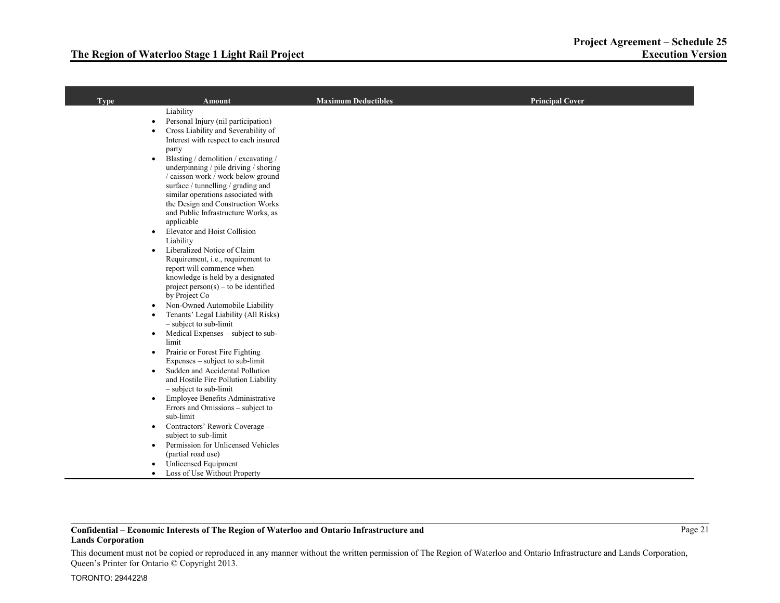| <b>Type</b> | <b>Amount</b>                                                                             | <b>Maximum Deductibles</b> | <b>Principal Cover</b> |
|-------------|-------------------------------------------------------------------------------------------|----------------------------|------------------------|
|             | Liability                                                                                 |                            |                        |
|             | Personal Injury (nil participation)<br>$\bullet$                                          |                            |                        |
|             | Cross Liability and Severability of<br>$\bullet$<br>Interest with respect to each insured |                            |                        |
|             | party                                                                                     |                            |                        |
|             | Blasting / demolition / excavating /<br>$\bullet$                                         |                            |                        |
|             | underpinning / pile driving / shoring                                                     |                            |                        |
|             | / caisson work / work below ground                                                        |                            |                        |
|             | surface / tunnelling / grading and                                                        |                            |                        |
|             | similar operations associated with<br>the Design and Construction Works                   |                            |                        |
|             | and Public Infrastructure Works, as                                                       |                            |                        |
|             | applicable                                                                                |                            |                        |
|             | Elevator and Hoist Collision<br>$\bullet$                                                 |                            |                        |
|             | Liability                                                                                 |                            |                        |
|             | Liberalized Notice of Claim<br>$\bullet$<br>Requirement, i.e., requirement to             |                            |                        |
|             | report will commence when                                                                 |                            |                        |
|             | knowledge is held by a designated                                                         |                            |                        |
|             | $project person(s) - to be identified$                                                    |                            |                        |
|             | by Project Co                                                                             |                            |                        |
|             | Non-Owned Automobile Liability<br>$\bullet$                                               |                            |                        |
|             | Tenants' Legal Liability (All Risks)<br>$\bullet$<br>$-$ subject to sub-limit             |                            |                        |
|             | Medical Expenses - subject to sub-<br>$\bullet$                                           |                            |                        |
|             | limit                                                                                     |                            |                        |
|             | Prairie or Forest Fire Fighting<br>$\bullet$                                              |                            |                        |
|             | Expenses – subject to sub-limit<br>Sudden and Accidental Pollution                        |                            |                        |
|             | $\bullet$<br>and Hostile Fire Pollution Liability                                         |                            |                        |
|             | - subject to sub-limit                                                                    |                            |                        |
|             | Employee Benefits Administrative<br>$\bullet$                                             |                            |                        |
|             | Errors and Omissions - subject to                                                         |                            |                        |
|             | sub-limit                                                                                 |                            |                        |
|             | Contractors' Rework Coverage -<br>$\bullet$<br>subject to sub-limit                       |                            |                        |
|             | Permission for Unlicensed Vehicles<br>$\bullet$                                           |                            |                        |
|             | (partial road use)                                                                        |                            |                        |
|             | Unlicensed Equipment<br>$\bullet$                                                         |                            |                        |
|             | Loss of Use Without Property                                                              |                            |                        |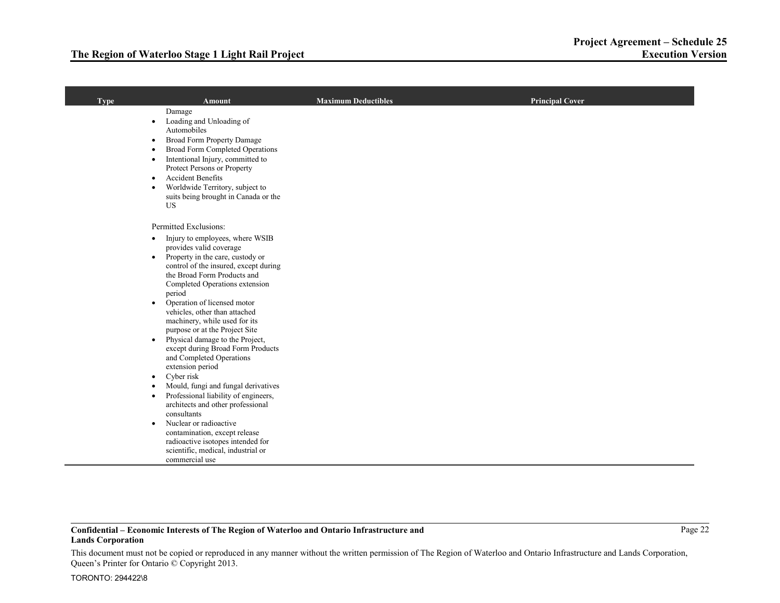| <b>Type</b> | <b>Amount</b>                                                                                                                                                                                                                                                                                                                                                                                                                                                                                                                                                                                                                                                                                                                                                                                                                                                                                              | Maximum Deductibles | <b>Principal Cover</b> |
|-------------|------------------------------------------------------------------------------------------------------------------------------------------------------------------------------------------------------------------------------------------------------------------------------------------------------------------------------------------------------------------------------------------------------------------------------------------------------------------------------------------------------------------------------------------------------------------------------------------------------------------------------------------------------------------------------------------------------------------------------------------------------------------------------------------------------------------------------------------------------------------------------------------------------------|---------------------|------------------------|
|             | Damage<br>Loading and Unloading of<br>$\bullet$<br>Automobiles<br>Broad Form Property Damage<br>$\bullet$<br><b>Broad Form Completed Operations</b><br>Intentional Injury, committed to<br>$\bullet$<br>Protect Persons or Property<br><b>Accident Benefits</b><br>$\bullet$<br>Worldwide Territory, subject to<br>suits being brought in Canada or the<br><b>US</b>                                                                                                                                                                                                                                                                                                                                                                                                                                                                                                                                       |                     |                        |
|             | Permitted Exclusions:<br>Injury to employees, where WSIB<br>$\bullet$<br>provides valid coverage<br>Property in the care, custody or<br>$\bullet$<br>control of the insured, except during<br>the Broad Form Products and<br>Completed Operations extension<br>period<br>Operation of licensed motor<br>$\bullet$<br>vehicles, other than attached<br>machinery, while used for its<br>purpose or at the Project Site<br>Physical damage to the Project,<br>$\bullet$<br>except during Broad Form Products<br>and Completed Operations<br>extension period<br>Cyber risk<br>$\bullet$<br>Mould, fungi and fungal derivatives<br>Professional liability of engineers,<br>$\bullet$<br>architects and other professional<br>consultants<br>Nuclear or radioactive<br>$\bullet$<br>contamination, except release<br>radioactive isotopes intended for<br>scientific, medical, industrial or<br>commercial use |                     |                        |

This document must not be copied or reproduced in any manner without the written permission of The Region of Waterloo and Ontario Infrastructure and Lands Corporation, Queen's Printer for Ontario © Copyright 2013.

 $\mathcal{A}$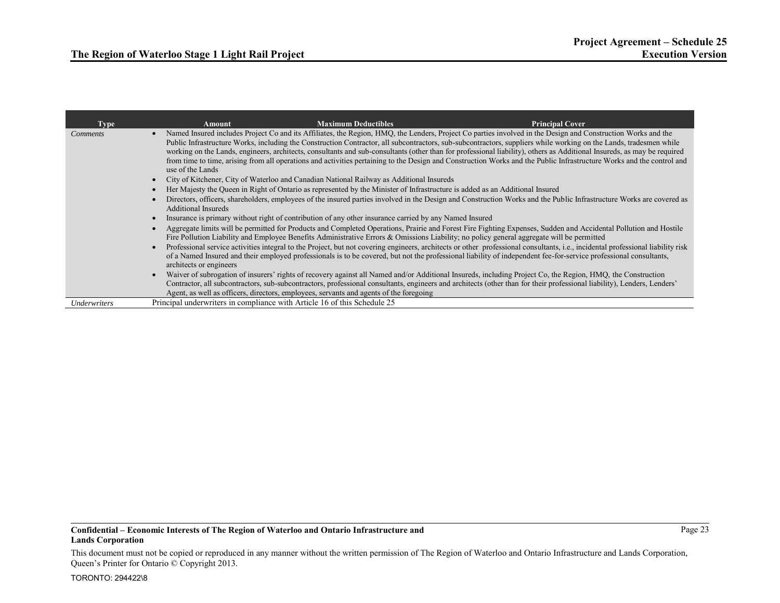| <b>Type</b>     | <b>Maximum Deductibles</b><br><b>Principal Cover</b><br>Amount                                                                                                                                                                                                                                                                                                                                                                                                                                                                                                                                                                                                                                                                                                                                        |
|-----------------|-------------------------------------------------------------------------------------------------------------------------------------------------------------------------------------------------------------------------------------------------------------------------------------------------------------------------------------------------------------------------------------------------------------------------------------------------------------------------------------------------------------------------------------------------------------------------------------------------------------------------------------------------------------------------------------------------------------------------------------------------------------------------------------------------------|
| <i>Comments</i> | Named Insured includes Project Co and its Affiliates, the Region, HMQ, the Lenders, Project Co parties involved in the Design and Construction Works and the<br>Public Infrastructure Works, including the Construction Contractor, all subcontractors, sub-subcontractors, suppliers while working on the Lands, tradesmen while<br>working on the Lands, engineers, architects, consultants and sub-consultants (other than for professional liability), others as Additional Insureds, as may be required<br>from time to time, arising from all operations and activities pertaining to the Design and Construction Works and the Public Infrastructure Works and the control and<br>use of the Lands<br>City of Kitchener, City of Waterloo and Canadian National Railway as Additional Insureds |
|                 | Her Majesty the Queen in Right of Ontario as represented by the Minister of Infrastructure is added as an Additional Insured                                                                                                                                                                                                                                                                                                                                                                                                                                                                                                                                                                                                                                                                          |
|                 | Directors, officers, shareholders, employees of the insured parties involved in the Design and Construction Works and the Public Infrastructure Works are covered as<br>Additional Insureds                                                                                                                                                                                                                                                                                                                                                                                                                                                                                                                                                                                                           |
|                 | Insurance is primary without right of contribution of any other insurance carried by any Named Insured                                                                                                                                                                                                                                                                                                                                                                                                                                                                                                                                                                                                                                                                                                |
|                 | Aggregate limits will be permitted for Products and Completed Operations, Prairie and Forest Fire Fighting Expenses, Sudden and Accidental Pollution and Hostile<br>Fire Pollution Liability and Employee Benefits Administrative Errors & Omissions Liability; no policy general aggregate will be permitted                                                                                                                                                                                                                                                                                                                                                                                                                                                                                         |
|                 | Professional service activities integral to the Project, but not covering engineers, architects or other professional consultants, i.e., incidental professional liability risk<br>of a Named Insured and their employed professionals is to be covered, but not the professional liability of independent fee-for-service professional consultants,<br>architects or engineers                                                                                                                                                                                                                                                                                                                                                                                                                       |
|                 | Waiver of subrogation of insurers' rights of recovery against all Named and/or Additional Insureds, including Project Co, the Region, HMQ, the Construction<br>Contractor, all subcontractors, sub-subcontractors, professional consultants, engineers and architects (other than for their professional liability), Lenders, Lenders'<br>Agent, as well as officers, directors, employees, servants and agents of the foregoing                                                                                                                                                                                                                                                                                                                                                                      |
| Underwriters    | Principal underwriters in compliance with Article 16 of this Schedule 25                                                                                                                                                                                                                                                                                                                                                                                                                                                                                                                                                                                                                                                                                                                              |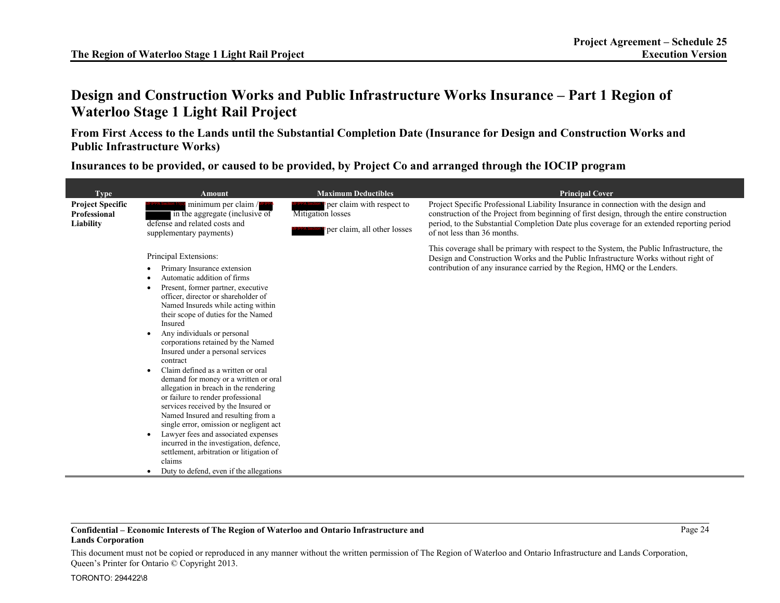# **Design and Construction Works and Public Infrastructure Works Insurance – Part 1 Region of Waterloo Stage 1 Light Rail Project**

**From First Access to the Lands until the Substantial Completion Date (Insurance for Design and Construction Works and Public Infrastructure Works)** 

**Insurances to be provided, or caused to be provided, by Project Co and arranged through the IOCIP program** 

| <b>Type</b>                             | <b>Amount</b>                                                                                                                                                                                                                                                                                                                                                                                                                                                                                                                                                                                                                                                                                                                                                                                                                                          | <b>Maximum Deductibles</b>                     | <b>Principal Cover</b>                                                                                                                                                                                                                                      |
|-----------------------------------------|--------------------------------------------------------------------------------------------------------------------------------------------------------------------------------------------------------------------------------------------------------------------------------------------------------------------------------------------------------------------------------------------------------------------------------------------------------------------------------------------------------------------------------------------------------------------------------------------------------------------------------------------------------------------------------------------------------------------------------------------------------------------------------------------------------------------------------------------------------|------------------------------------------------|-------------------------------------------------------------------------------------------------------------------------------------------------------------------------------------------------------------------------------------------------------------|
| <b>Project Specific</b><br>Professional | minimum per claim /<br>in the aggregate (inclusive of                                                                                                                                                                                                                                                                                                                                                                                                                                                                                                                                                                                                                                                                                                                                                                                                  | per claim with respect to<br>Mitigation losses | Project Specific Professional Liability Insurance in connection with the design and<br>construction of the Project from beginning of first design, through the entire construction                                                                          |
| Liability                               | defense and related costs and<br>supplementary payments)                                                                                                                                                                                                                                                                                                                                                                                                                                                                                                                                                                                                                                                                                                                                                                                               | per claim, all other losses                    | period, to the Substantial Completion Date plus coverage for an extended reporting period<br>of not less than 36 months.                                                                                                                                    |
|                                         | Principal Extensions:<br>Primary Insurance extension<br>Automatic addition of firms<br>Present, former partner, executive<br>officer, director or shareholder of<br>Named Insureds while acting within<br>their scope of duties for the Named<br>Insured<br>Any individuals or personal<br>corporations retained by the Named<br>Insured under a personal services<br>contract<br>Claim defined as a written or oral<br>demand for money or a written or oral<br>allegation in breach in the rendering<br>or failure to render professional<br>services received by the Insured or<br>Named Insured and resulting from a<br>single error, omission or negligent act<br>Lawyer fees and associated expenses<br>incurred in the investigation, defence,<br>settlement, arbitration or litigation of<br>claims<br>Duty to defend, even if the allegations |                                                | This coverage shall be primary with respect to the System, the Public Infrastructure, the<br>Design and Construction Works and the Public Infrastructure Works without right of<br>contribution of any insurance carried by the Region, HMQ or the Lenders. |

### **Confidential – Economic Interests of The Region of Waterloo and Ontario Infrastructure and Lands Corporation**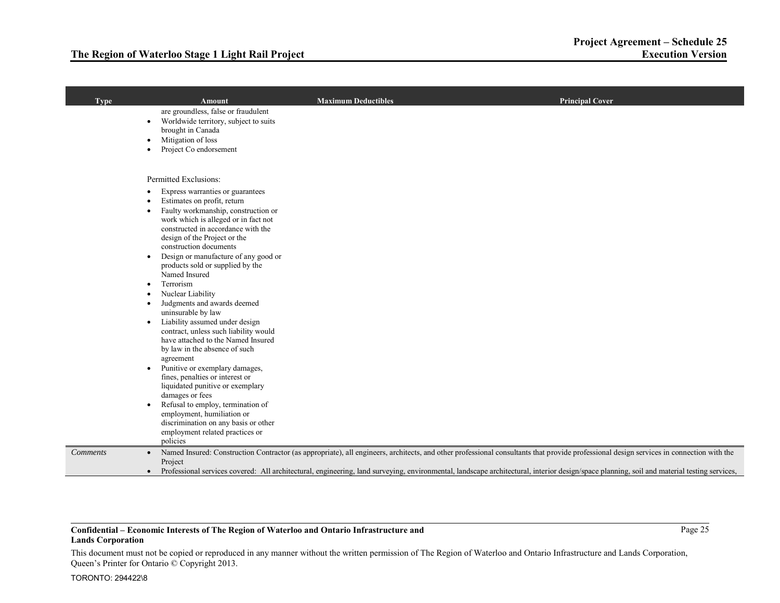## **The Region of Waterloo Stage 1 Light Rail Project**

| <b>Type</b>                  | Amount                                                                                                                                                                                                                                                                                                                                                                            | <b>Maximum Deductibles</b>                                                                                                                                                                                                                                                                                                                                                            | <b>Principal Cover</b> |
|------------------------------|-----------------------------------------------------------------------------------------------------------------------------------------------------------------------------------------------------------------------------------------------------------------------------------------------------------------------------------------------------------------------------------|---------------------------------------------------------------------------------------------------------------------------------------------------------------------------------------------------------------------------------------------------------------------------------------------------------------------------------------------------------------------------------------|------------------------|
| $\bullet$<br>$\bullet$       | are groundless, false or fraudulent<br>Worldwide territory, subject to suits<br>brought in Canada<br>Mitigation of loss<br>Project Co endorsement                                                                                                                                                                                                                                 |                                                                                                                                                                                                                                                                                                                                                                                       |                        |
| $\bullet$<br>$\bullet$       | Permitted Exclusions:<br>Express warranties or guarantees<br>Estimates on profit, return<br>Faulty workmanship, construction or<br>work which is alleged or in fact not<br>constructed in accordance with the<br>design of the Project or the<br>construction documents<br>Design or manufacture of any good or<br>products sold or supplied by the<br>Named Insured<br>Terrorism |                                                                                                                                                                                                                                                                                                                                                                                       |                        |
| $\bullet$<br>$\bullet$       | Nuclear Liability<br>Judgments and awards deemed<br>uninsurable by law<br>Liability assumed under design<br>contract, unless such liability would<br>have attached to the Named Insured<br>by law in the absence of such<br>agreement                                                                                                                                             |                                                                                                                                                                                                                                                                                                                                                                                       |                        |
| ٠                            | Punitive or exemplary damages,<br>fines, penalties or interest or<br>liquidated punitive or exemplary<br>damages or fees<br>Refusal to employ, termination of<br>employment, humiliation or<br>discrimination on any basis or other<br>employment related practices or<br>policies                                                                                                |                                                                                                                                                                                                                                                                                                                                                                                       |                        |
| <i>Comments</i><br>$\bullet$ | Project                                                                                                                                                                                                                                                                                                                                                                           | Named Insured: Construction Contractor (as appropriate), all engineers, architects, and other professional consultants that provide professional design services in connection with the<br>Professional services covered: All architectural, engineering, land surveying, environmental, landscape architectural, interior design/space planning, soil and material testing services, |                        |

### **Confidential – Economic Interests of The Region of Waterloo and Ontario Infrastructure and Lands Corporation**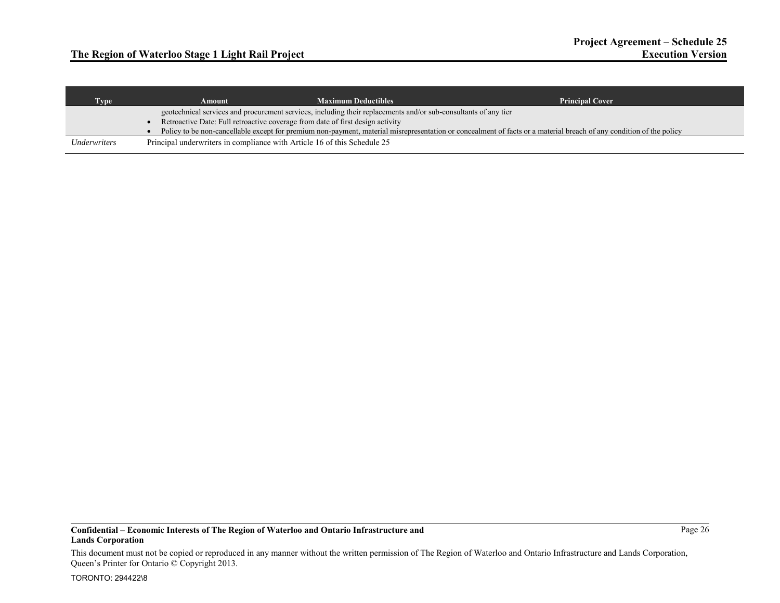| <b>Type</b>  | Amount                                                                                                          | <b>Maximum Deductibles</b> | <b>Principal Cover</b>                                                                                                                                              |
|--------------|-----------------------------------------------------------------------------------------------------------------|----------------------------|---------------------------------------------------------------------------------------------------------------------------------------------------------------------|
|              | geotechnical services and procurement services, including their replacements and/or sub-consultants of any tier |                            |                                                                                                                                                                     |
|              | Retroactive Date: Full retroactive coverage from date of first design activity                                  |                            |                                                                                                                                                                     |
|              |                                                                                                                 |                            | Policy to be non-cancellable except for premium non-payment, material misrepresentation or concealment of facts or a material breach of any condition of the policy |
| Underwriters | Principal underwriters in compliance with Article 16 of this Schedule 25                                        |                            |                                                                                                                                                                     |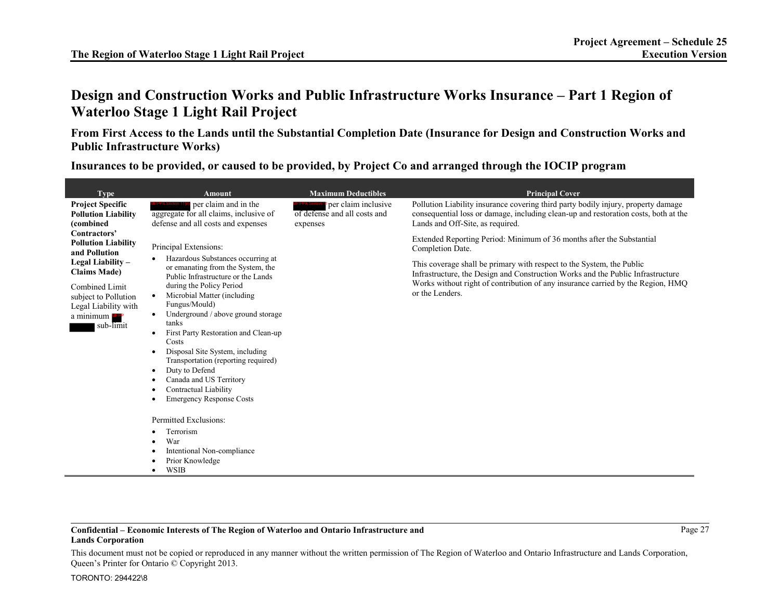# **Design and Construction Works and Public Infrastructure Works Insurance – Part 1 Region of Waterloo Stage 1 Light Rail Project**

**From First Access to the Lands until the Substantial Completion Date (Insurance for Design and Construction Works and Public Infrastructure Works)** 

**Insurances to be provided, or caused to be provided, by Project Co and arranged through the IOCIP program** 

| <b>Type</b><br><b>Project Specific</b><br><b>Pollution Liability</b><br>(combined<br>Contractors'<br><b>Pollution Liability</b><br>and Pollution<br>Legal Liability –<br><b>Claims Made)</b><br>Combined Limit<br>subject to Pollution<br>Legal Liability with<br>a minimum<br>sub-limit | <b>Amount</b><br>per claim and in the<br>aggregate for all claims, inclusive of<br>defense and all costs and expenses<br>Principal Extensions:<br>Hazardous Substances occurring at<br>or emanating from the System, the<br>Public Infrastructure or the Lands<br>during the Policy Period<br>Microbial Matter (including<br>$\bullet$<br>Fungus/Mould)<br>Underground / above ground storage<br>tanks<br>First Party Restoration and Clean-up<br>٠<br>Costs<br>Disposal Site System, including<br>٠<br>Transportation (reporting required)<br>Duty to Defend | <b>Maximum Deductibles</b><br>per claim inclusive<br>of defense and all costs and<br>expenses | <b>Principal Cover</b><br>Pollution Liability insurance covering third party bodily injury, property damage<br>consequential loss or damage, including clean-up and restoration costs, both at the<br>Lands and Off-Site, as required.<br>Extended Reporting Period: Minimum of 36 months after the Substantial<br>Completion Date.<br>This coverage shall be primary with respect to the System, the Public<br>Infrastructure, the Design and Construction Works and the Public Infrastructure<br>Works without right of contribution of any insurance carried by the Region, HMQ<br>or the Lenders. |
|------------------------------------------------------------------------------------------------------------------------------------------------------------------------------------------------------------------------------------------------------------------------------------------|---------------------------------------------------------------------------------------------------------------------------------------------------------------------------------------------------------------------------------------------------------------------------------------------------------------------------------------------------------------------------------------------------------------------------------------------------------------------------------------------------------------------------------------------------------------|-----------------------------------------------------------------------------------------------|-------------------------------------------------------------------------------------------------------------------------------------------------------------------------------------------------------------------------------------------------------------------------------------------------------------------------------------------------------------------------------------------------------------------------------------------------------------------------------------------------------------------------------------------------------------------------------------------------------|
|                                                                                                                                                                                                                                                                                          | Canada and US Territory<br>Contractual Liability<br><b>Emergency Response Costs</b>                                                                                                                                                                                                                                                                                                                                                                                                                                                                           |                                                                                               |                                                                                                                                                                                                                                                                                                                                                                                                                                                                                                                                                                                                       |
|                                                                                                                                                                                                                                                                                          | Permitted Exclusions:<br>Terrorism<br>War<br>Intentional Non-compliance<br>Prior Knowledge<br><b>WSIB</b><br>٠                                                                                                                                                                                                                                                                                                                                                                                                                                                |                                                                                               |                                                                                                                                                                                                                                                                                                                                                                                                                                                                                                                                                                                                       |

### **Confidential – Economic Interests of The Region of Waterloo and Ontario Infrastructure and Lands Corporation**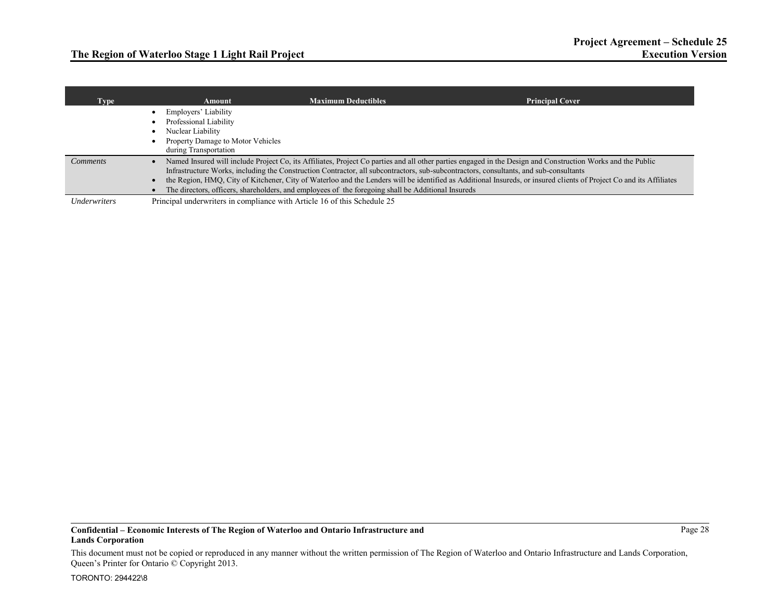| Type            | Amount                                                                                                                            | <b>Maximum Deductibles</b>                                                                                                                                                                                                                  | <b>Principal Cover</b>                                                                                                                                                                                                                                                                                                             |
|-----------------|-----------------------------------------------------------------------------------------------------------------------------------|---------------------------------------------------------------------------------------------------------------------------------------------------------------------------------------------------------------------------------------------|------------------------------------------------------------------------------------------------------------------------------------------------------------------------------------------------------------------------------------------------------------------------------------------------------------------------------------|
|                 | Employers' Liability<br>Professional Liability<br>Nuclear Liability<br>Property Damage to Motor Vehicles<br>during Transportation |                                                                                                                                                                                                                                             |                                                                                                                                                                                                                                                                                                                                    |
| <i>Comments</i> |                                                                                                                                   | Infrastructure Works, including the Construction Contractor, all subcontractors, sub-subcontractors, consultants, and sub-consultants<br>The directors, officers, shareholders, and employees of the foregoing shall be Additional Insureds | Named Insured will include Project Co, its Affiliates, Project Co parties and all other parties engaged in the Design and Construction Works and the Public<br>the Region, HMQ, City of Kitchener, City of Waterloo and the Lenders will be identified as Additional Insureds, or insured clients of Project Co and its Affiliates |
| Underwriters    | Principal underwriters in compliance with Article 16 of this Schedule 25                                                          |                                                                                                                                                                                                                                             |                                                                                                                                                                                                                                                                                                                                    |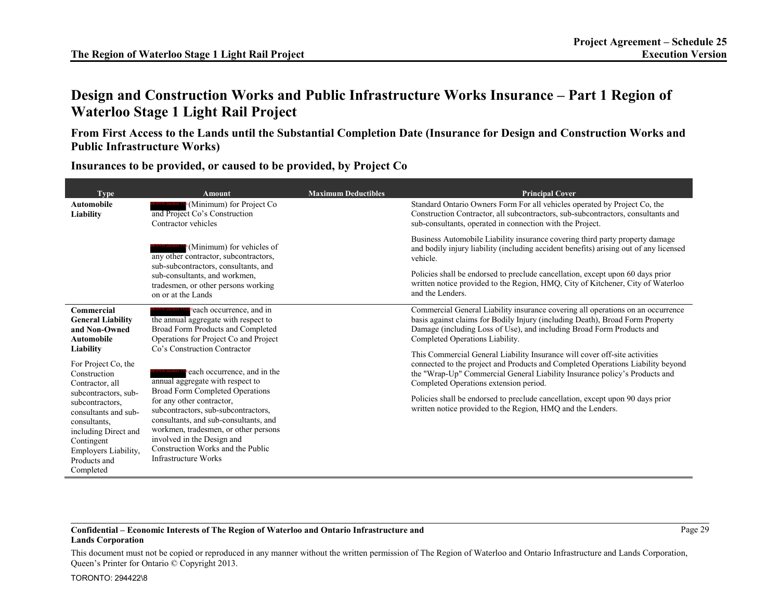# **Design and Construction Works and Public Infrastructure Works Insurance – Part 1 Region of Waterloo Stage 1 Light Rail Project**

**From First Access to the Lands until the Substantial Completion Date (Insurance for Design and Construction Works and Public Infrastructure Works)** 

**Type Amount Amount Maximum Deductibles Amount Principal Cover Automobile Liability MFIPPA Section 11<sup>tc</sup>** (Minimum) for Project Co and Project Co's Construction Contractor vehicles  $\epsilon$ (Minimum) for vehicles of any other contractor, subcontractors, sub-subcontractors, consultants, and sub-consultants, and workmen, tradesmen, or other persons working on or at the Lands Standard Ontario Owners Form For all vehicles operated by Project Co, the Construction Contractor, all subcontractors, sub-subcontractors, consultants and sub-consultants, operated in connection with the Project. Business Automobile Liability insurance covering third party property damage and bodily injury liability (including accident benefits) arising out of any licensed vehicle. Policies shall be endorsed to preclude cancellation, except upon 60 days prior written notice provided to the Region, HMQ, City of Kitchener, City of Waterloo and the Lenders. **Commercial General Liability and Non-Owned Automobile Liability** For Project Co, the Construction Contractor, all subcontractors, subsubcontractors, consultants and subconsultants, including Direct and Contingent Employers Liability, Products and Completed each occurrence, and in the annual aggregate with respect to Broad Form Products and Completed Operations for Project Co and Project Co's Construction Contractor each occurrence, and in the annual aggregate with respect to Broad Form Completed Operations for any other contractor, subcontractors, sub-subcontractors, consultants, and sub-consultants, and workmen, tradesmen, or other persons involved in the Design and Construction Works and the Public Infrastructure Works Commercial General Liability insurance covering all operations on an occurrence basis against claims for Bodily Injury (including Death), Broad Form Property Damage (including Loss of Use), and including Broad Form Products and Completed Operations Liability. This Commercial General Liability Insurance will cover off-site activities connected to the project and Products and Completed Operations Liability beyond the "Wrap-Up" Commercial General Liability Insurance policy's Products and Completed Operations extension period. Policies shall be endorsed to preclude cancellation, except upon 90 days prior written notice provided to the Region, HMQ and the Lenders. MFIPPA Section 11(c MFIPPA Section 11(c)(d MFIPPA Section 11(c

**Insurances to be provided, or caused to be provided, by Project Co** 

### **Confidential – Economic Interests of The Region of Waterloo and Ontario Infrastructure and Lands Corporation**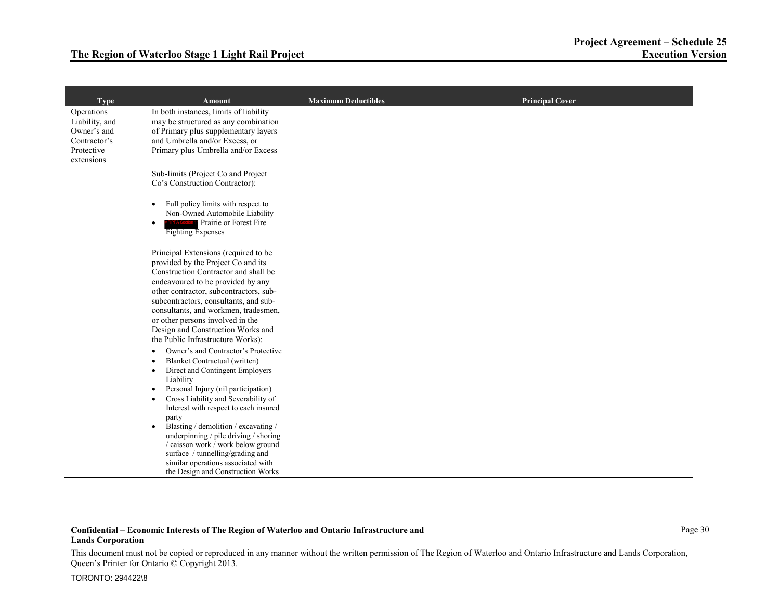| <b>Type</b>                                                                             | <b>Amount</b>                                                                                                                                                                                                                                                                                                                                                                                    | <b>Maximum Deductibles</b> | <b>Principal Cover</b> |
|-----------------------------------------------------------------------------------------|--------------------------------------------------------------------------------------------------------------------------------------------------------------------------------------------------------------------------------------------------------------------------------------------------------------------------------------------------------------------------------------------------|----------------------------|------------------------|
| Operations<br>Liability, and<br>Owner's and<br>Contractor's<br>Protective<br>extensions | In both instances, limits of liability<br>may be structured as any combination<br>of Primary plus supplementary layers<br>and Umbrella and/or Excess, or<br>Primary plus Umbrella and/or Excess                                                                                                                                                                                                  |                            |                        |
|                                                                                         | Sub-limits (Project Co and Project<br>Co's Construction Contractor):                                                                                                                                                                                                                                                                                                                             |                            |                        |
|                                                                                         | Full policy limits with respect to<br>$\bullet$<br>Non-Owned Automobile Liability<br>Prairie or Forest Fire<br>$\bullet$<br><b>Fighting Expenses</b>                                                                                                                                                                                                                                             |                            |                        |
|                                                                                         | Principal Extensions (required to be<br>provided by the Project Co and its<br>Construction Contractor and shall be<br>endeavoured to be provided by any<br>other contractor, subcontractors, sub-<br>subcontractors, consultants, and sub-<br>consultants, and workmen, tradesmen,<br>or other persons involved in the<br>Design and Construction Works and<br>the Public Infrastructure Works): |                            |                        |
|                                                                                         | Owner's and Contractor's Protective<br>$\bullet$<br><b>Blanket Contractual (written)</b><br>$\bullet$<br>Direct and Contingent Employers<br>$\bullet$<br>Liability<br>Personal Injury (nil participation)<br>$\bullet$<br>Cross Liability and Severability of<br>$\bullet$<br>Interest with respect to each insured                                                                              |                            |                        |
|                                                                                         | party<br>Blasting / demolition / excavating /<br>$\bullet$<br>underpinning / pile driving / shoring<br>/ caisson work / work below ground<br>surface / tunnelling/grading and<br>similar operations associated with<br>the Design and Construction Works                                                                                                                                         |                            |                        |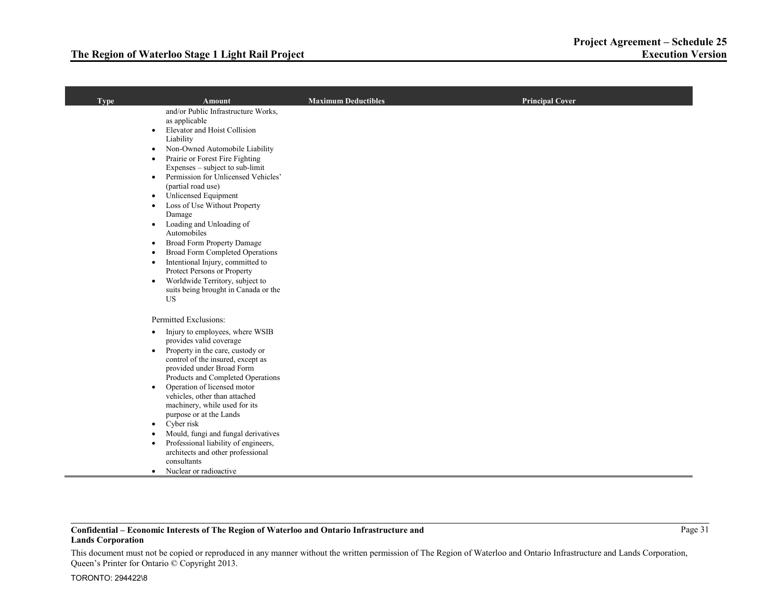| <b>Type</b> | <b>Amount</b>                                                                                                                                                                                                                                                                                                                                                                                                                                                                                                                                                                                                                                                                                                                                     | <b>Maximum Deductibles</b> | <b>Principal Cover</b> |
|-------------|---------------------------------------------------------------------------------------------------------------------------------------------------------------------------------------------------------------------------------------------------------------------------------------------------------------------------------------------------------------------------------------------------------------------------------------------------------------------------------------------------------------------------------------------------------------------------------------------------------------------------------------------------------------------------------------------------------------------------------------------------|----------------------------|------------------------|
|             | and/or Public Infrastructure Works,<br>as applicable<br>Elevator and Hoist Collision<br>$\bullet$<br>Liability<br>Non-Owned Automobile Liability<br>$\bullet$<br>Prairie or Forest Fire Fighting<br>$\bullet$<br>Expenses – subject to sub-limit<br>Permission for Unlicensed Vehicles'<br>$\bullet$<br>(partial road use)<br>Unlicensed Equipment<br>$\bullet$<br>Loss of Use Without Property<br>Damage<br>Loading and Unloading of<br>$\bullet$<br>Automobiles<br>Broad Form Property Damage<br>$\bullet$<br>Broad Form Completed Operations<br>$\bullet$<br>Intentional Injury, committed to<br>$\bullet$<br>Protect Persons or Property<br>Worldwide Territory, subject to<br>$\bullet$<br>suits being brought in Canada or the<br><b>US</b> |                            |                        |
|             | Permitted Exclusions:                                                                                                                                                                                                                                                                                                                                                                                                                                                                                                                                                                                                                                                                                                                             |                            |                        |
|             | Injury to employees, where WSIB<br>$\bullet$<br>provides valid coverage<br>Property in the care, custody or<br>$\bullet$<br>control of the insured, except as<br>provided under Broad Form<br>Products and Completed Operations<br>Operation of licensed motor<br>$\bullet$<br>vehicles, other than attached<br>machinery, while used for its<br>purpose or at the Lands<br>Cyber risk<br>$\bullet$<br>Mould, fungi and fungal derivatives<br>Professional liability of engineers,<br>$\bullet$<br>architects and other professional<br>consultants<br>Nuclear or radioactive<br>$\bullet$                                                                                                                                                        |                            |                        |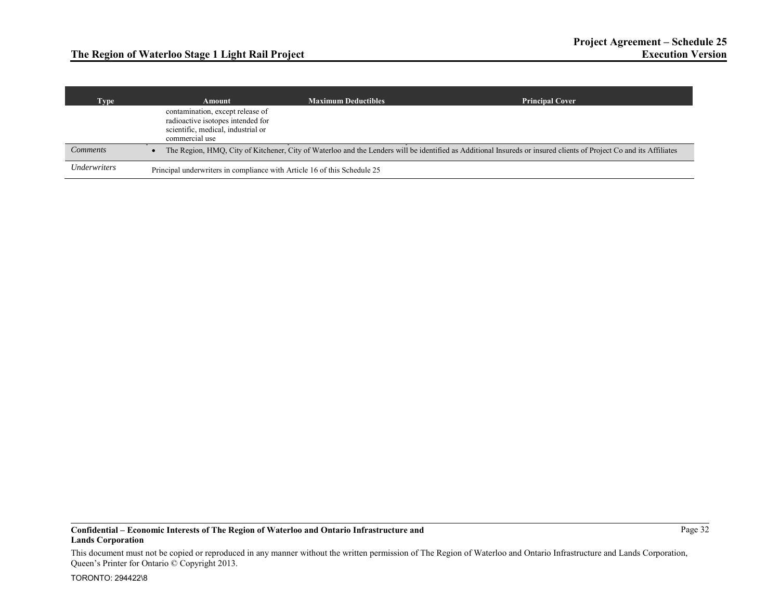| Type'                             | Amount                                                                                                                        | <b>Maximum Deductibles</b> | <b>Principal Cover</b>                                                                                                                                             |
|-----------------------------------|-------------------------------------------------------------------------------------------------------------------------------|----------------------------|--------------------------------------------------------------------------------------------------------------------------------------------------------------------|
|                                   | contamination, except release of<br>radioactive isotopes intended for<br>scientific, medical, industrial or<br>commercial use |                            |                                                                                                                                                                    |
| <b>Comments</b>                   |                                                                                                                               |                            | The Region, HMQ, City of Kitchener, City of Waterloo and the Lenders will be identified as Additional Insureds or insured clients of Project Co and its Affiliates |
| <i><u><b>Underwriters</b></u></i> | Principal underwriters in compliance with Article 16 of this Schedule 25                                                      |                            |                                                                                                                                                                    |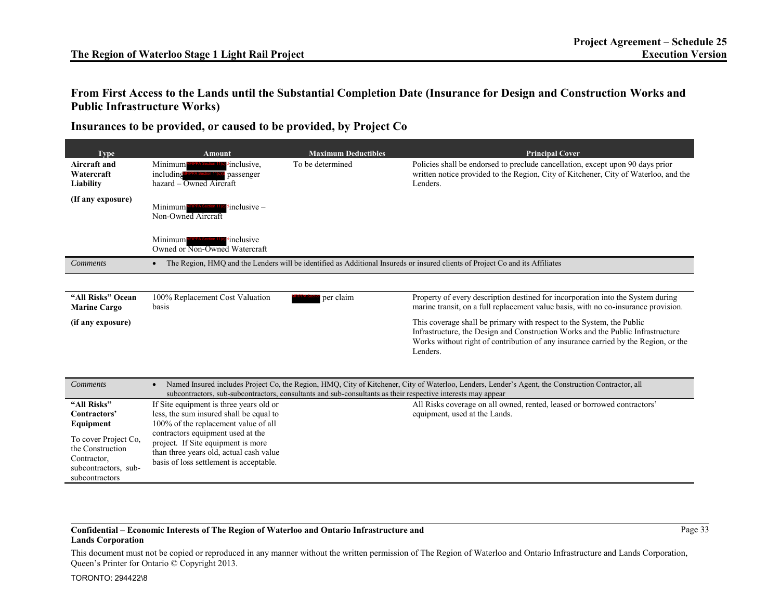## **From First Access to the Lands until the Substantial Completion Date (Insurance for Design and Construction Works and Public Infrastructure Works)**

**Insurances to be provided, or caused to be provided, by Project Co** 

| <b>Type</b>                                                                                                                 | <b>Amount</b>                                                                                                                                                                                                                                                                               | <b>Maximum Deductibles</b>                                                                                   | <b>Principal Cover</b>                                                                                                                                                                                                                                     |
|-----------------------------------------------------------------------------------------------------------------------------|---------------------------------------------------------------------------------------------------------------------------------------------------------------------------------------------------------------------------------------------------------------------------------------------|--------------------------------------------------------------------------------------------------------------|------------------------------------------------------------------------------------------------------------------------------------------------------------------------------------------------------------------------------------------------------------|
| <b>Aircraft</b> and<br>Watercraft<br>Liability                                                                              | inclusive.<br>Minimum<br>including<br>passenger<br>hazard – Owned Aircraft                                                                                                                                                                                                                  | To be determined                                                                                             | Policies shall be endorsed to preclude cancellation, except upon 90 days prior<br>written notice provided to the Region, City of Kitchener, City of Waterloo, and the<br>Lenders.                                                                          |
| (If any exposure)                                                                                                           | $\epsilon$ inclusive –<br>Minimum<br>Non-Owned Aircraft                                                                                                                                                                                                                                     |                                                                                                              |                                                                                                                                                                                                                                                            |
|                                                                                                                             | dinclusive<br>Minimum<br>Owned or Non-Owned Watercraft                                                                                                                                                                                                                                      |                                                                                                              |                                                                                                                                                                                                                                                            |
| <b>Comments</b>                                                                                                             | $\bullet$                                                                                                                                                                                                                                                                                   |                                                                                                              | The Region, HMQ and the Lenders will be identified as Additional Insureds or insured clients of Project Co and its Affiliates                                                                                                                              |
|                                                                                                                             |                                                                                                                                                                                                                                                                                             |                                                                                                              |                                                                                                                                                                                                                                                            |
| "All Risks" Ocean<br><b>Marine Cargo</b>                                                                                    | 100% Replacement Cost Valuation<br>basis                                                                                                                                                                                                                                                    | per claim                                                                                                    | Property of every description destined for incorporation into the System during<br>marine transit, on a full replacement value basis, with no co-insurance provision.                                                                                      |
| (if any exposure)                                                                                                           |                                                                                                                                                                                                                                                                                             |                                                                                                              | This coverage shall be primary with respect to the System, the Public<br>Infrastructure, the Design and Construction Works and the Public Infrastructure<br>Works without right of contribution of any insurance carried by the Region, or the<br>Lenders. |
|                                                                                                                             |                                                                                                                                                                                                                                                                                             |                                                                                                              |                                                                                                                                                                                                                                                            |
| <b>Comments</b>                                                                                                             | $\bullet$                                                                                                                                                                                                                                                                                   | subcontractors, sub-subcontractors, consultants and sub-consultants as their respective interests may appear | Named Insured includes Project Co, the Region, HMQ, City of Kitchener, City of Waterloo, Lenders, Lender's Agent, the Construction Contractor, all                                                                                                         |
| "All Risks"<br>Contractors'<br>Equipment<br>To cover Project Co.<br>the Construction<br>Contractor,<br>subcontractors, sub- | If Site equipment is three years old or<br>less, the sum insured shall be equal to<br>100% of the replacement value of all<br>contractors equipment used at the<br>project. If Site equipment is more<br>than three years old, actual cash value<br>basis of loss settlement is acceptable. |                                                                                                              | All Risks coverage on all owned, rented, leased or borrowed contractors'<br>equipment, used at the Lands.                                                                                                                                                  |
| subcontractors                                                                                                              |                                                                                                                                                                                                                                                                                             |                                                                                                              |                                                                                                                                                                                                                                                            |

### **Confidential – Economic Interests of The Region of Waterloo and Ontario Infrastructure and Lands Corporation**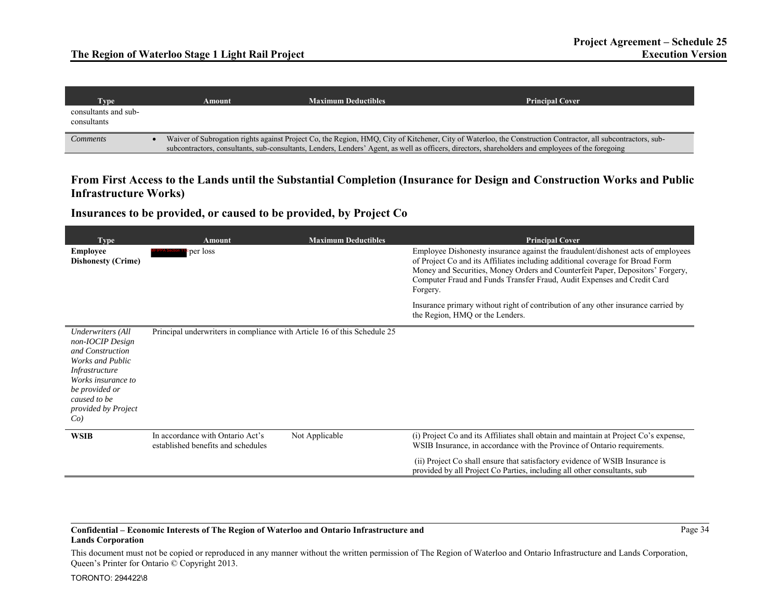| Type                                | Amount | <b>Maximum Deductibles</b> | <b>Principal Cover</b>                                                                                                                                                                                                                                                                                             |
|-------------------------------------|--------|----------------------------|--------------------------------------------------------------------------------------------------------------------------------------------------------------------------------------------------------------------------------------------------------------------------------------------------------------------|
| consultants and sub-<br>consultants |        |                            |                                                                                                                                                                                                                                                                                                                    |
| Comments                            |        |                            | Waiver of Subrogation rights against Project Co, the Region, HMQ, City of Kitchener, City of Waterloo, the Construction Contractor, all subcontractors, sub-<br>subcontractors, consultants, sub-consultants, Lenders, Lenders' Agent, as well as officers, directors, shareholders and employees of the foregoing |

## **From First Access to the Lands until the Substantial Completion (Insurance for Design and Construction Works and Public Infrastructure Works)**

**Insurances to be provided, or caused to be provided, by Project Co** 

| <b>Type</b>                                                                                                                                                                                            | <b>Amount</b>                                                            | <b>Maximum Deductibles</b> | <b>Principal Cover</b>                                                                                                                                                                                                                                                                                                                     |
|--------------------------------------------------------------------------------------------------------------------------------------------------------------------------------------------------------|--------------------------------------------------------------------------|----------------------------|--------------------------------------------------------------------------------------------------------------------------------------------------------------------------------------------------------------------------------------------------------------------------------------------------------------------------------------------|
| <b>Employee</b><br><b>Dishonesty (Crime)</b>                                                                                                                                                           | per loss                                                                 |                            | Employee Dishonesty insurance against the fraudulent/dishonest acts of employees<br>of Project Co and its Affiliates including additional coverage for Broad Form<br>Money and Securities, Money Orders and Counterfeit Paper, Depositors' Forgery,<br>Computer Fraud and Funds Transfer Fraud, Audit Expenses and Credit Card<br>Forgery. |
|                                                                                                                                                                                                        |                                                                          |                            | Insurance primary without right of contribution of any other insurance carried by<br>the Region, HMQ or the Lenders.                                                                                                                                                                                                                       |
| <b>Underwriters</b> (All<br>non-IOCIP Design<br>and Construction<br>Works and Public<br><i>Infrastructure</i><br>Works insurance to<br>be provided or<br>caused to be<br>provided by Project<br>$Co$ ) | Principal underwriters in compliance with Article 16 of this Schedule 25 |                            |                                                                                                                                                                                                                                                                                                                                            |
| <b>WSIB</b>                                                                                                                                                                                            | In accordance with Ontario Act's<br>established benefits and schedules   | Not Applicable             | (i) Project Co and its Affiliates shall obtain and maintain at Project Co's expense,<br>WSIB Insurance, in accordance with the Province of Ontario requirements.                                                                                                                                                                           |
|                                                                                                                                                                                                        |                                                                          |                            | (ii) Project Co shall ensure that satisfactory evidence of WSIB Insurance is<br>provided by all Project Co Parties, including all other consultants, sub-                                                                                                                                                                                  |

### **Confidential – Economic Interests of The Region of Waterloo and Ontario Infrastructure and Lands Corporation**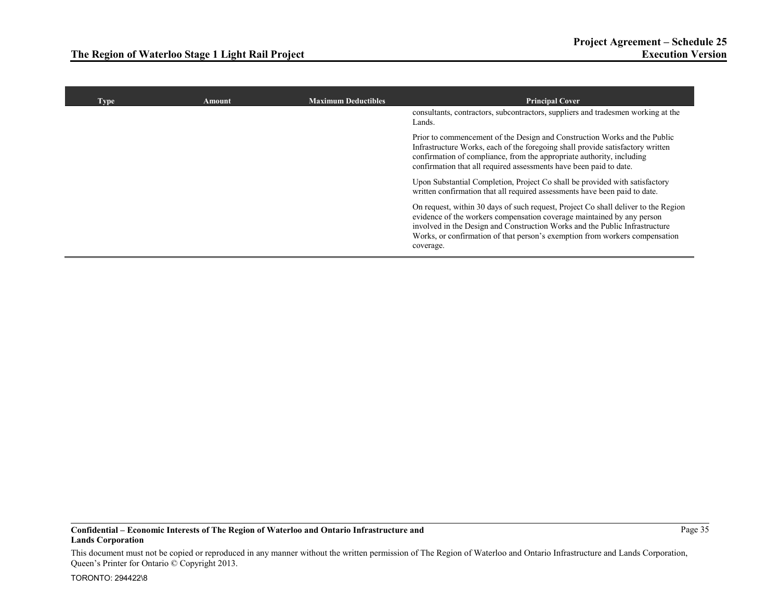| <b>Type</b> | <b>Amount</b> | <b>Maximum Deductibles</b> | <b>Principal Cover</b>                                                                                                                                                                                                                                                                                                                  |
|-------------|---------------|----------------------------|-----------------------------------------------------------------------------------------------------------------------------------------------------------------------------------------------------------------------------------------------------------------------------------------------------------------------------------------|
|             |               |                            | consultants, contractors, subcontractors, suppliers and tradesmen working at the<br>Lands.                                                                                                                                                                                                                                              |
|             |               |                            | Prior to commencement of the Design and Construction Works and the Public<br>Infrastructure Works, each of the foregoing shall provide satisfactory written<br>confirmation of compliance, from the appropriate authority, including<br>confirmation that all required assessments have been paid to date.                              |
|             |               |                            | Upon Substantial Completion, Project Co shall be provided with satisfactory<br>written confirmation that all required assessments have been paid to date.                                                                                                                                                                               |
|             |               |                            | On request, within 30 days of such request, Project Co shall deliver to the Region<br>evidence of the workers compensation coverage maintained by any person<br>involved in the Design and Construction Works and the Public Infrastructure<br>Works, or confirmation of that person's exemption from workers compensation<br>coverage. |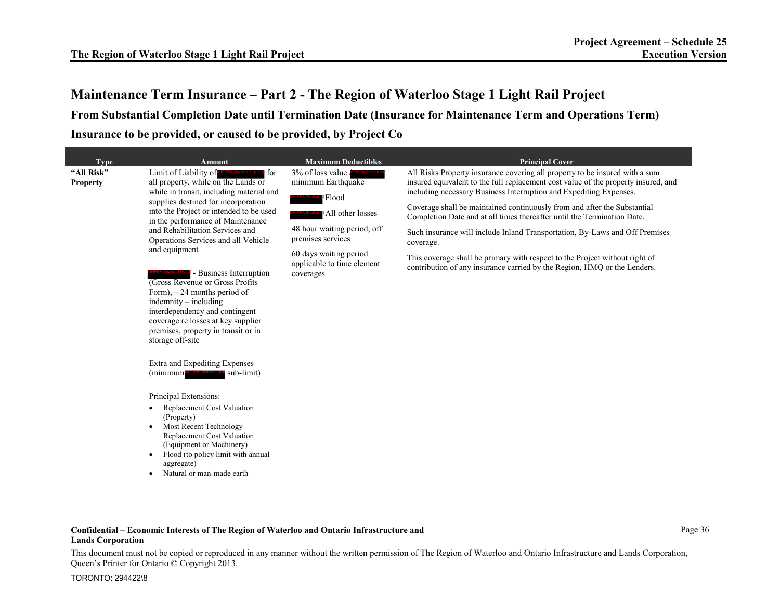**From Substantial Completion Date until Termination Date (Insurance for Maintenance Term and Operations Term) Insurance to be provided, or caused to be provided, by Project Co** 

| <b>Type</b>                   | <b>Amount</b>                                                                                                                                                                                                                                                                                                                                                                                                                              | <b>Maximum Deductibles</b>                                                                                              | <b>Principal Cover</b>                                                                                                                                                                                                                  |
|-------------------------------|--------------------------------------------------------------------------------------------------------------------------------------------------------------------------------------------------------------------------------------------------------------------------------------------------------------------------------------------------------------------------------------------------------------------------------------------|-------------------------------------------------------------------------------------------------------------------------|-----------------------------------------------------------------------------------------------------------------------------------------------------------------------------------------------------------------------------------------|
| "All Risk"<br><b>Property</b> | Limit of Liability of<br><b>for</b><br>IFIPPA Section 11(c)(o<br>all property, while on the Lands or<br>while in transit, including material and                                                                                                                                                                                                                                                                                           | 3% of loss value<br>minimum Earthquake<br>Flood<br>All other losses<br>48 hour waiting period, off<br>premises services | All Risks Property insurance covering all property to be insured with a sum<br>insured equivalent to the full replacement cost value of the property insured, and<br>including necessary Business Interruption and Expediting Expenses. |
|                               | supplies destined for incorporation<br>into the Project or intended to be used<br>in the performance of Maintenance                                                                                                                                                                                                                                                                                                                        |                                                                                                                         | Coverage shall be maintained continuously from and after the Substantial<br>Completion Date and at all times thereafter until the Termination Date.                                                                                     |
|                               | and Rehabilitation Services and<br>Operations Services and all Vehicle                                                                                                                                                                                                                                                                                                                                                                     |                                                                                                                         | Such insurance will include Inland Transportation, By-Laws and Off Premises<br>coverage.                                                                                                                                                |
|                               | and equipment<br>- Business Interruption<br>(Gross Revenue or Gross Profits)<br>Form), $-24$ months period of<br>$indemnity - including$<br>interdependency and contingent<br>coverage re losses at key supplier<br>premises, property in transit or in<br>storage off-site<br>Extra and Expediting Expenses<br>sub-limit)<br>(minimum<br>Principal Extensions:<br>Replacement Cost Valuation<br>٠<br>(Property)<br>Most Recent Technology | 60 days waiting period<br>applicable to time element<br>coverages                                                       | This coverage shall be primary with respect to the Project without right of<br>contribution of any insurance carried by the Region, HMO or the Lenders.                                                                                 |
|                               | Replacement Cost Valuation<br>(Equipment or Machinery)<br>Flood (to policy limit with annual<br>aggregate)<br>Natural or man-made earth<br>$\bullet$                                                                                                                                                                                                                                                                                       |                                                                                                                         |                                                                                                                                                                                                                                         |

### **Confidential – Economic Interests of The Region of Waterloo and Ontario Infrastructure and Lands Corporation**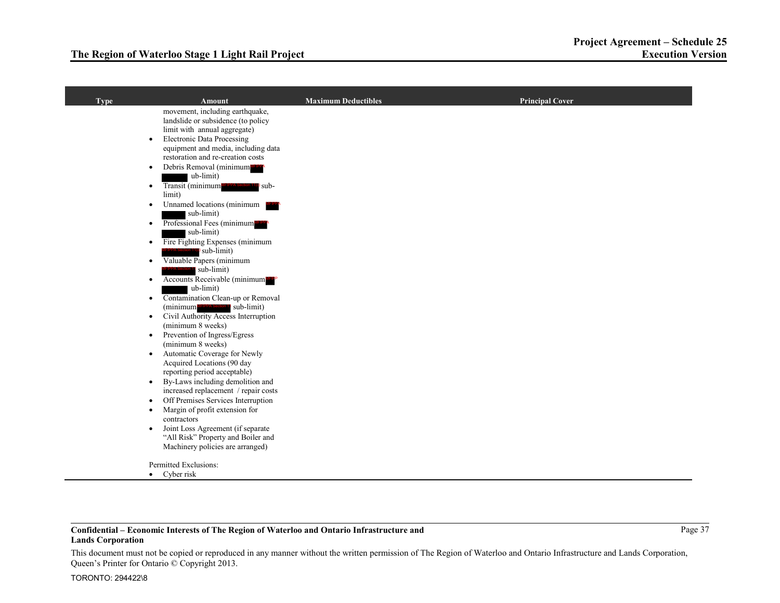| <b>Type</b> | <b>Amount</b>                                                                                  | <b>Maximum Deductibles</b> | <b>Principal Cover</b> |
|-------------|------------------------------------------------------------------------------------------------|----------------------------|------------------------|
|             | movement, including earthquake,                                                                |                            |                        |
|             | landslide or subsidence (to policy<br>limit with annual aggregate)                             |                            |                        |
|             | <b>Electronic Data Processing</b><br>$\bullet$                                                 |                            |                        |
|             | equipment and media, including data                                                            |                            |                        |
|             | restoration and re-creation costs                                                              |                            |                        |
|             | Debris Removal (minimum<br>$\bullet$                                                           |                            |                        |
|             | ub-limit)                                                                                      |                            |                        |
|             | Transit (minimum MFIPPA Section<br>sub-<br>$\bullet$                                           |                            |                        |
|             | limit)                                                                                         |                            |                        |
|             | Unnamed locations (minimum<br>$\bullet$                                                        |                            |                        |
|             | sub-limit)                                                                                     |                            |                        |
|             | Professional Fees (minimum MEPP<br>$\bullet$<br>sub-limit)                                     |                            |                        |
|             | Fire Fighting Expenses (minimum<br>$\bullet$                                                   |                            |                        |
|             | $\bullet$ sub-limit)                                                                           |                            |                        |
|             | Valuable Papers (minimum<br>$\bullet$                                                          |                            |                        |
|             | sub-limit)                                                                                     |                            |                        |
|             | Accounts Receivable (minimum<br>$\bullet$                                                      |                            |                        |
|             | ub-limit)                                                                                      |                            |                        |
|             | Contamination Clean-up or Removal<br>$\bullet$                                                 |                            |                        |
|             | (minimum MFIPPA Section 11 sub-limit)<br>Civil Authority Access Interruption                   |                            |                        |
|             | $\bullet$<br>(minimum 8 weeks)                                                                 |                            |                        |
|             | Prevention of Ingress/Egress<br>$\bullet$                                                      |                            |                        |
|             | (minimum 8 weeks)                                                                              |                            |                        |
|             | Automatic Coverage for Newly<br>$\bullet$                                                      |                            |                        |
|             | Acquired Locations (90 day                                                                     |                            |                        |
|             | reporting period acceptable)                                                                   |                            |                        |
|             | By-Laws including demolition and<br>$\bullet$                                                  |                            |                        |
|             | increased replacement / repair costs                                                           |                            |                        |
|             | Off Premises Services Interruption<br>$\bullet$<br>Margin of profit extension for<br>$\bullet$ |                            |                        |
|             | contractors                                                                                    |                            |                        |
|             | Joint Loss Agreement (if separate<br>$\bullet$                                                 |                            |                        |
|             | "All Risk" Property and Boiler and                                                             |                            |                        |
|             | Machinery policies are arranged)                                                               |                            |                        |
|             |                                                                                                |                            |                        |
|             | Permitted Exclusions:<br>$\bullet$ Cyber risk                                                  |                            |                        |
|             |                                                                                                |                            |                        |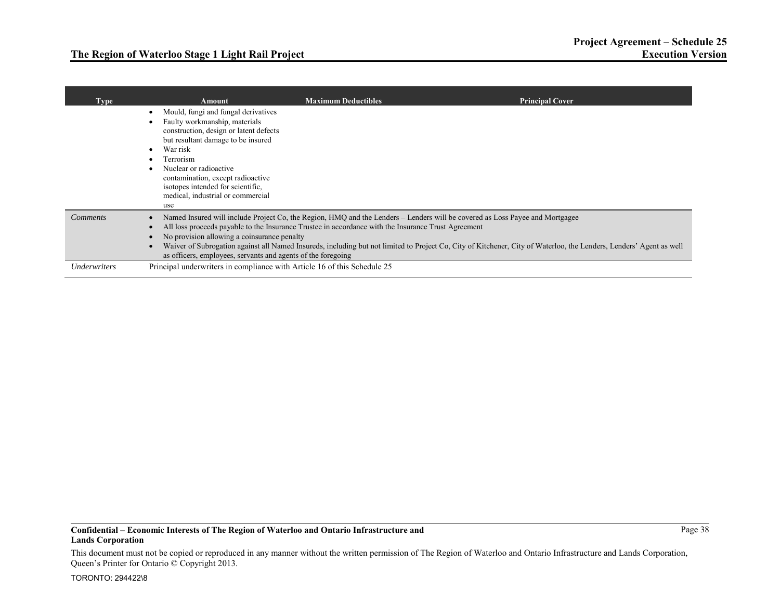| <b>Type</b>     | Amount                                                                                                                                                                                                                                                                                                                        | <b>Maximum Deductibles</b>                                                                                                                                                                                                                                                                                                                                                                                 | <b>Principal Cover</b> |
|-----------------|-------------------------------------------------------------------------------------------------------------------------------------------------------------------------------------------------------------------------------------------------------------------------------------------------------------------------------|------------------------------------------------------------------------------------------------------------------------------------------------------------------------------------------------------------------------------------------------------------------------------------------------------------------------------------------------------------------------------------------------------------|------------------------|
|                 | Mould, fungi and fungal derivatives<br>Faulty workmanship, materials<br>construction, design or latent defects<br>but resultant damage to be insured<br>War risk<br>Terrorism<br>Nuclear or radioactive<br>contamination, except radioactive<br>isotopes intended for scientific.<br>medical, industrial or commercial<br>use |                                                                                                                                                                                                                                                                                                                                                                                                            |                        |
| <b>Comments</b> | No provision allowing a coinsurance penalty<br>as officers, employees, servants and agents of the foregoing                                                                                                                                                                                                                   | Named Insured will include Project Co, the Region, HMQ and the Lenders - Lenders will be covered as Loss Payee and Mortgagee<br>All loss proceeds payable to the Insurance Trustee in accordance with the Insurance Trust Agreement<br>Waiver of Subrogation against all Named Insureds, including but not limited to Project Co, City of Kitchener, City of Waterloo, the Lenders, Lenders' Agent as well |                        |
| Underwriters    | Principal underwriters in compliance with Article 16 of this Schedule 25                                                                                                                                                                                                                                                      |                                                                                                                                                                                                                                                                                                                                                                                                            |                        |

Page 38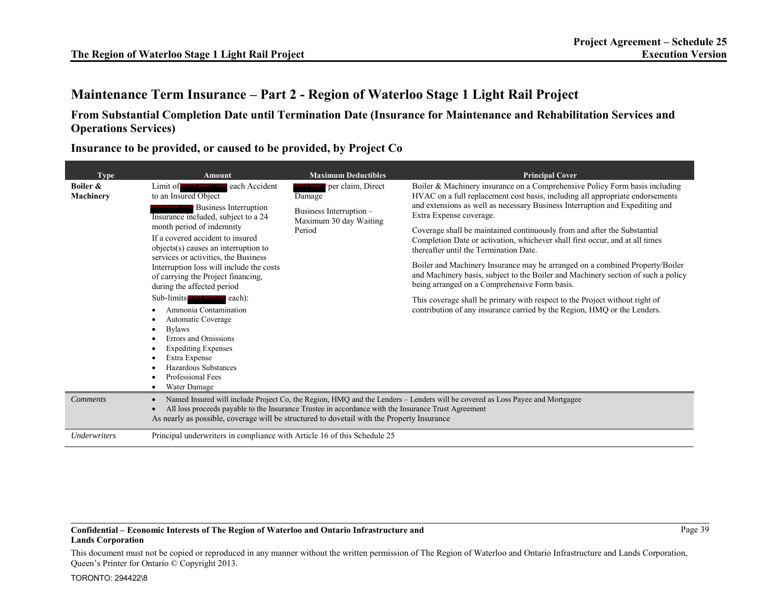## **From Substantial Completion Date until Termination Date (Insurance for Maintenance and Rehabilitation Services and Operations Services)**

| <b>Type</b>                       | Amount                                                                                                                                                                                                                                                                                                                                                                                                                                                                                                                                                                                                                                                        | <b>Maximum Deductibles</b>                                                                 | <b>Principal Cover</b>                                                                                                                                                                                                                                                                                                                                                                                                                                                                                                                                                                                                                                                                                                                                                                                                                                         |  |
|-----------------------------------|---------------------------------------------------------------------------------------------------------------------------------------------------------------------------------------------------------------------------------------------------------------------------------------------------------------------------------------------------------------------------------------------------------------------------------------------------------------------------------------------------------------------------------------------------------------------------------------------------------------------------------------------------------------|--------------------------------------------------------------------------------------------|----------------------------------------------------------------------------------------------------------------------------------------------------------------------------------------------------------------------------------------------------------------------------------------------------------------------------------------------------------------------------------------------------------------------------------------------------------------------------------------------------------------------------------------------------------------------------------------------------------------------------------------------------------------------------------------------------------------------------------------------------------------------------------------------------------------------------------------------------------------|--|
| Boiler &<br>Machinery             | each Accident<br>Limit of MFIPPA Section<br>to an Insured Object<br><b>Business Interruption</b><br>Insurance included, subject to a 24<br>month period of indemnity<br>If a covered accident to insured<br>objects(s) causes an interruption to<br>services or activities, the Business<br>Interruption loss will include the costs<br>of carrying the Project financing,<br>during the affected period<br>Sub-limits <b>MFIPPA Section 11(c)</b> each):<br>Ammonia Contamination<br>Automatic Coverage<br><b>Bylaws</b><br>Errors and Omissions<br><b>Expediting Expenses</b><br>Extra Expense<br>Hazardous Substances<br>Professional Fees<br>Water Damage | per claim, Direct<br>Damage<br>Business Interruption -<br>Maximum 30 day Waiting<br>Period | Boiler & Machinery insurance on a Comprehensive Policy Form basis including<br>HVAC on a full replacement cost basis, including all appropriate endorsements<br>and extensions as well as necessary Business Interruption and Expediting and<br>Extra Expense coverage.<br>Coverage shall be maintained continuously from and after the Substantial<br>Completion Date or activation, whichever shall first occur, and at all times<br>thereafter until the Termination Date.<br>Boiler and Machinery Insurance may be arranged on a combined Property/Boiler<br>and Machinery basis, subject to the Boiler and Machinery section of such a policy<br>being arranged on a Comprehensive Form basis.<br>This coverage shall be primary with respect to the Project without right of<br>contribution of any insurance carried by the Region, HMQ or the Lenders. |  |
| <b>Comments</b>                   | Named Insured will include Project Co, the Region, HMQ and the Lenders - Lenders will be covered as Loss Payee and Mortgagee<br>All loss proceeds payable to the Insurance Trustee in accordance with the Insurance Trust Agreement<br>As nearly as possible, coverage will be structured to dovetail with the Property Insurance                                                                                                                                                                                                                                                                                                                             |                                                                                            |                                                                                                                                                                                                                                                                                                                                                                                                                                                                                                                                                                                                                                                                                                                                                                                                                                                                |  |
| <i><u><b>Underwriters</b></u></i> | Principal underwriters in compliance with Article 16 of this Schedule 25                                                                                                                                                                                                                                                                                                                                                                                                                                                                                                                                                                                      |                                                                                            |                                                                                                                                                                                                                                                                                                                                                                                                                                                                                                                                                                                                                                                                                                                                                                                                                                                                |  |

**Insurance to be provided, or caused to be provided, by Project Co** 

### **Confidential – Economic Interests of The Region of Waterloo and Ontario Infrastructure and Lands Corporation**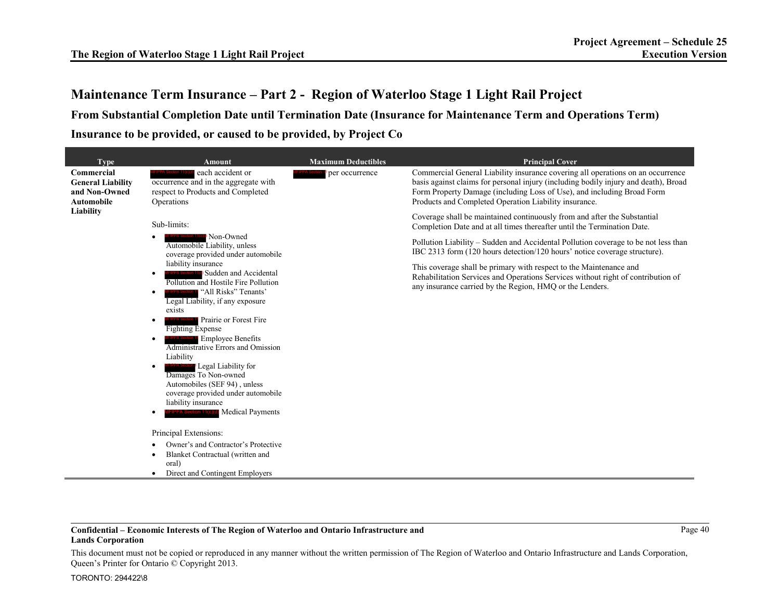**From Substantial Completion Date until Termination Date (Insurance for Maintenance Term and Operations Term) Insurance to be provided, or caused to be provided, by Project Co** 

| <b>Type</b>                                                                               | Amount                                                                                                                                                                                                                                                                                                                                                                                                                                                                                                                                         | <b>Maximum Deductibles</b> | <b>Principal Cover</b>                                                                                                                                                                                                                                                                                    |
|-------------------------------------------------------------------------------------------|------------------------------------------------------------------------------------------------------------------------------------------------------------------------------------------------------------------------------------------------------------------------------------------------------------------------------------------------------------------------------------------------------------------------------------------------------------------------------------------------------------------------------------------------|----------------------------|-----------------------------------------------------------------------------------------------------------------------------------------------------------------------------------------------------------------------------------------------------------------------------------------------------------|
| Commercial<br><b>General Liability</b><br>and Non-Owned<br><b>Automobile</b><br>Liability | each accident or<br>occurrence and in the aggregate with<br>respect to Products and Completed<br>Operations                                                                                                                                                                                                                                                                                                                                                                                                                                    | per occurrence             | Commercial General Liability insurance covering all operations on an occurrence<br>basis against claims for personal injury (including bodily injury and death), Broad<br>Form Property Damage (including Loss of Use), and including Broad Form<br>Products and Completed Operation Liability insurance. |
|                                                                                           | Sub-limits:                                                                                                                                                                                                                                                                                                                                                                                                                                                                                                                                    |                            | Coverage shall be maintained continuously from and after the Substantial<br>Completion Date and at all times thereafter until the Termination Date.                                                                                                                                                       |
|                                                                                           | Non-Owned<br>Automobile Liability, unless<br>coverage provided under automobile                                                                                                                                                                                                                                                                                                                                                                                                                                                                |                            | Pollution Liability – Sudden and Accidental Pollution coverage to be not less than<br>IBC 2313 form (120 hours detection/120 hours' notice coverage structure).                                                                                                                                           |
|                                                                                           | liability insurance<br>Sudden and Accidental<br>$\bullet$<br>Pollution and Hostile Fire Pollution<br>"All Risks" Tenants'<br>$\bullet$<br>Legal Liability, if any exposure<br>exists<br>Prairie or Forest Fire<br>٠<br><b>Fighting Expense</b><br><b>Employee Benefits</b><br>$\bullet$<br>Administrative Errors and Omission<br>Liability<br>Legal Liability for<br>$\bullet$<br>Damages To Non-owned<br>Automobiles (SEF 94), unless<br>coverage provided under automobile<br>liability insurance<br>FIPPA Section 11(c)(d) Medical Payments |                            | This coverage shall be primary with respect to the Maintenance and<br>Rehabilitation Services and Operations Services without right of contribution of<br>any insurance carried by the Region, HMO or the Lenders.                                                                                        |
|                                                                                           | Principal Extensions:<br>Owner's and Contractor's Protective                                                                                                                                                                                                                                                                                                                                                                                                                                                                                   |                            |                                                                                                                                                                                                                                                                                                           |
|                                                                                           | Blanket Contractual (written and<br>$\bullet$<br>oral)<br>Direct and Contingent Employers<br>٠                                                                                                                                                                                                                                                                                                                                                                                                                                                 |                            |                                                                                                                                                                                                                                                                                                           |

### **Confidential – Economic Interests of The Region of Waterloo and Ontario Infrastructure and Lands Corporation**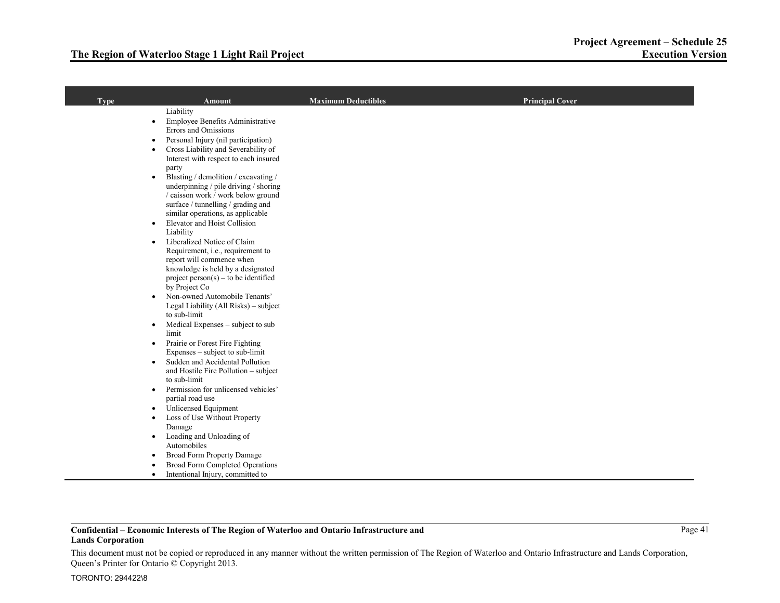| <b>Type</b> | <b>Amount</b>                                                                        | <b>Maximum Deductibles</b> | <b>Principal Cover</b> |
|-------------|--------------------------------------------------------------------------------------|----------------------------|------------------------|
|             | Liability                                                                            |                            |                        |
|             | Employee Benefits Administrative<br>$\bullet$                                        |                            |                        |
|             | <b>Errors and Omissions</b>                                                          |                            |                        |
|             | Personal Injury (nil participation)<br>$\bullet$                                     |                            |                        |
|             | Cross Liability and Severability of<br>$\bullet$                                     |                            |                        |
|             | Interest with respect to each insured                                                |                            |                        |
|             | party<br>Blasting / demolition / excavating /<br>$\bullet$                           |                            |                        |
|             | underpinning / pile driving / shoring                                                |                            |                        |
|             | / caisson work / work below ground                                                   |                            |                        |
|             | surface / tunnelling / grading and                                                   |                            |                        |
|             | similar operations, as applicable                                                    |                            |                        |
|             | Elevator and Hoist Collision<br>$\bullet$                                            |                            |                        |
|             | Liability                                                                            |                            |                        |
|             | Liberalized Notice of Claim<br>$\bullet$                                             |                            |                        |
|             | Requirement, <i>i.e.</i> , requirement to<br>report will commence when               |                            |                        |
|             | knowledge is held by a designated                                                    |                            |                        |
|             | $project person(s) - to be identified$                                               |                            |                        |
|             | by Project Co                                                                        |                            |                        |
|             | Non-owned Automobile Tenants'<br>$\bullet$                                           |                            |                        |
|             | Legal Liability (All Risks) - subject                                                |                            |                        |
|             | to sub-limit                                                                         |                            |                        |
|             | Medical Expenses - subject to sub<br>$\bullet$<br>limit                              |                            |                        |
|             | Prairie or Forest Fire Fighting<br>$\bullet$                                         |                            |                        |
|             | Expenses $-$ subject to sub-limit                                                    |                            |                        |
|             | Sudden and Accidental Pollution<br>$\bullet$<br>and Hostile Fire Pollution - subject |                            |                        |
|             | to sub-limit                                                                         |                            |                        |
|             | Permission for unlicensed vehicles'<br>$\bullet$                                     |                            |                        |
|             | partial road use                                                                     |                            |                        |
|             | <b>Unlicensed Equipment</b>                                                          |                            |                        |
|             | Loss of Use Without Property<br>٠                                                    |                            |                        |
|             | Damage                                                                               |                            |                        |
|             | Loading and Unloading of<br>$\bullet$                                                |                            |                        |
|             | Automobiles                                                                          |                            |                        |
|             | Broad Form Property Damage<br>$\bullet$<br>Broad Form Completed Operations           |                            |                        |
|             | Intentional Injury, committed to<br>$\bullet$                                        |                            |                        |
|             |                                                                                      |                            |                        |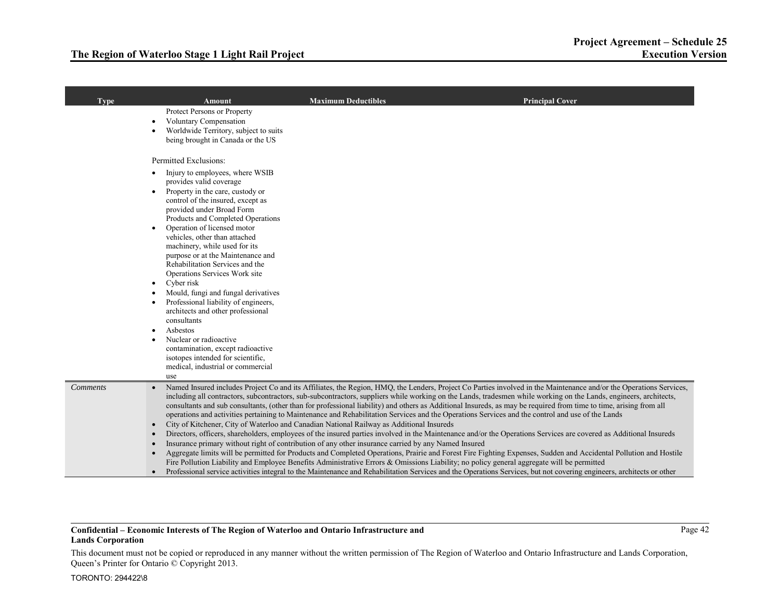| <b>Type</b>     | Amount                                                                                                                                                                                                                                                                                                                                                                                                                                                                                                                                                                                               | <b>Maximum Deductibles</b>                                                                                                                                                                      | <b>Principal Cover</b>                                                                                                                                                                                                                                                                                                                                                                                                                                                                                                                                                                                                                                                                                                                                                                                                                                                                                                                                                                                                                                                                                                                                                                                                                                                                                                          |
|-----------------|------------------------------------------------------------------------------------------------------------------------------------------------------------------------------------------------------------------------------------------------------------------------------------------------------------------------------------------------------------------------------------------------------------------------------------------------------------------------------------------------------------------------------------------------------------------------------------------------------|-------------------------------------------------------------------------------------------------------------------------------------------------------------------------------------------------|---------------------------------------------------------------------------------------------------------------------------------------------------------------------------------------------------------------------------------------------------------------------------------------------------------------------------------------------------------------------------------------------------------------------------------------------------------------------------------------------------------------------------------------------------------------------------------------------------------------------------------------------------------------------------------------------------------------------------------------------------------------------------------------------------------------------------------------------------------------------------------------------------------------------------------------------------------------------------------------------------------------------------------------------------------------------------------------------------------------------------------------------------------------------------------------------------------------------------------------------------------------------------------------------------------------------------------|
|                 | Protect Persons or Property<br><b>Voluntary Compensation</b><br>Worldwide Territory, subject to suits<br>being brought in Canada or the US<br>Permitted Exclusions:<br>Injury to employees, where WSIB<br>provides valid coverage<br>Property in the care, custody or<br>control of the insured, except as<br>provided under Broad Form<br>Products and Completed Operations<br>Operation of licensed motor<br>vehicles, other than attached<br>machinery, while used for its<br>purpose or at the Maintenance and<br>Rehabilitation Services and the<br>Operations Services Work site<br>Cyber risk |                                                                                                                                                                                                 |                                                                                                                                                                                                                                                                                                                                                                                                                                                                                                                                                                                                                                                                                                                                                                                                                                                                                                                                                                                                                                                                                                                                                                                                                                                                                                                                 |
|                 | Mould, fungi and fungal derivatives<br>Professional liability of engineers,<br>architects and other professional<br>consultants<br>Asbestos<br>Nuclear or radioactive<br>contamination, except radioactive<br>isotopes intended for scientific,<br>medical, industrial or commercial                                                                                                                                                                                                                                                                                                                 |                                                                                                                                                                                                 |                                                                                                                                                                                                                                                                                                                                                                                                                                                                                                                                                                                                                                                                                                                                                                                                                                                                                                                                                                                                                                                                                                                                                                                                                                                                                                                                 |
| <b>Comments</b> | use                                                                                                                                                                                                                                                                                                                                                                                                                                                                                                                                                                                                  | City of Kitchener, City of Waterloo and Canadian National Railway as Additional Insureds<br>Insurance primary without right of contribution of any other insurance carried by any Named Insured | Named Insured includes Project Co and its Affiliates, the Region, HMQ, the Lenders, Project Co Parties involved in the Maintenance and/or the Operations Services,<br>including all contractors, subcontractors, sub-subcontractors, suppliers while working on the Lands, tradesmen while working on the Lands, engineers, architects,<br>consultants and sub consultants, (other than for professional liability) and others as Additional Insureds, as may be required from time to time, arising from all<br>operations and activities pertaining to Maintenance and Rehabilitation Services and the Operations Services and the control and use of the Lands<br>Directors, officers, shareholders, employees of the insured parties involved in the Maintenance and/or the Operations Services are covered as Additional Insureds<br>Aggregate limits will be permitted for Products and Completed Operations, Prairie and Forest Fire Fighting Expenses, Sudden and Accidental Pollution and Hostile<br>Fire Pollution Liability and Employee Benefits Administrative Errors & Omissions Liability; no policy general aggregate will be permitted<br>Professional service activities integral to the Maintenance and Rehabilitation Services and the Operations Services, but not covering engineers, architects or other |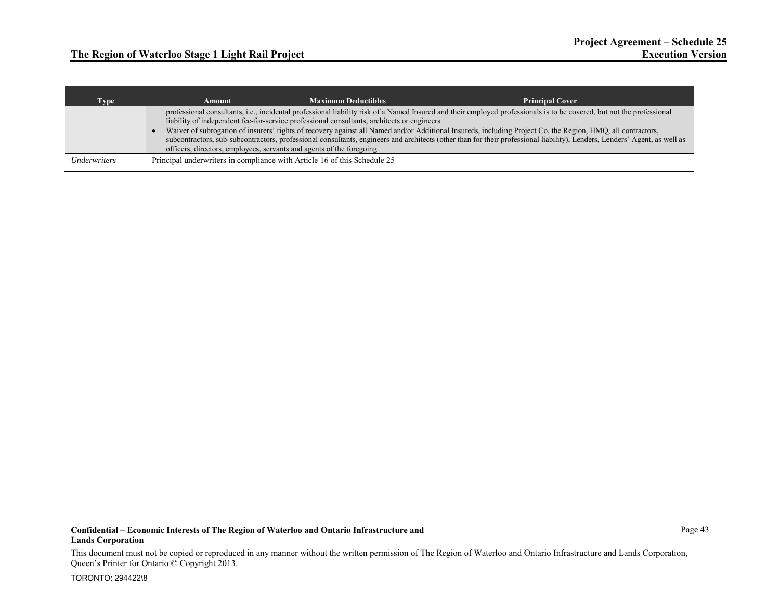| Type                              | Amount | <b>Maximum Deductibles</b>                                                                 | <b>Principal Cover</b>                                                                                                                                                                                                                                                                                                                   |
|-----------------------------------|--------|--------------------------------------------------------------------------------------------|------------------------------------------------------------------------------------------------------------------------------------------------------------------------------------------------------------------------------------------------------------------------------------------------------------------------------------------|
|                                   |        | liability of independent fee-for-service professional consultants, architects or engineers | professional consultants, i.e., incidental professional liability risk of a Named Insured and their employed professionals is to be covered, but not the professional                                                                                                                                                                    |
|                                   |        | officers, directors, employees, servants and agents of the foregoing                       | Waiver of subrogation of insurers' rights of recovery against all Named and/or Additional Insureds, including Project Co, the Region, HMQ, all contractors,<br>subcontractors, sub-subcontractors, professional consultants, engineers and architects (other than for their professional liability), Lenders, Lenders' Agent, as well as |
| <i><u><b>Underwriters</b></u></i> |        | Principal underwriters in compliance with Article 16 of this Schedule 25                   |                                                                                                                                                                                                                                                                                                                                          |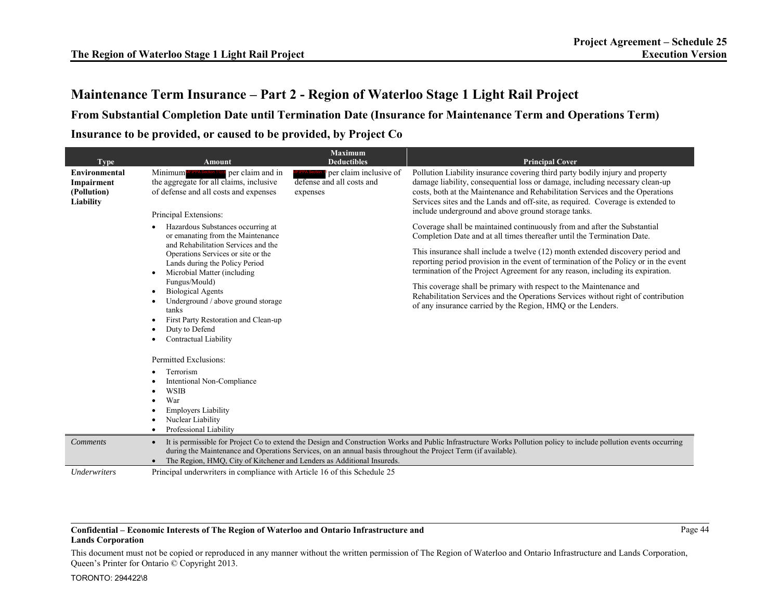**From Substantial Completion Date until Termination Date (Insurance for Maintenance Term and Operations Term) Insurance to be provided, or caused to be provided, by Project Co** 

| <b>Type</b>                                                    | <b>Amount</b>                                                                                                                                                                                                                          | <b>Maximum</b><br><b>Deductibles</b>                            | <b>Principal Cover</b>                                                                                                                                                                                                                                                                                                                                                                   |
|----------------------------------------------------------------|----------------------------------------------------------------------------------------------------------------------------------------------------------------------------------------------------------------------------------------|-----------------------------------------------------------------|------------------------------------------------------------------------------------------------------------------------------------------------------------------------------------------------------------------------------------------------------------------------------------------------------------------------------------------------------------------------------------------|
| <b>Environmental</b><br>Impairment<br>(Pollution)<br>Liability | Minimum <sup>MFIPPA Section 14(cll</sup> per claim and in<br>the aggregate for all claims, inclusive<br>of defense and all costs and expenses<br>Principal Extensions:                                                                 | per claim inclusive of<br>defense and all costs and<br>expenses | Pollution Liability insurance covering third party bodily injury and property<br>damage liability, consequential loss or damage, including necessary clean-up<br>costs, both at the Maintenance and Rehabilitation Services and the Operations<br>Services sites and the Lands and off-site, as required. Coverage is extended to<br>include underground and above ground storage tanks. |
|                                                                | Hazardous Substances occurring at<br>$\bullet$<br>or emanating from the Maintenance<br>and Rehabilitation Services and the<br>Operations Services or site or the<br>Lands during the Policy Period<br>Microbial Matter (including<br>٠ |                                                                 | Coverage shall be maintained continuously from and after the Substantial<br>Completion Date and at all times thereafter until the Termination Date.                                                                                                                                                                                                                                      |
|                                                                |                                                                                                                                                                                                                                        |                                                                 | This insurance shall include a twelve (12) month extended discovery period and<br>reporting period provision in the event of termination of the Policy or in the event<br>termination of the Project Agreement for any reason, including its expiration.                                                                                                                                 |
|                                                                | Fungus/Mould)<br><b>Biological Agents</b><br>٠<br>Underground / above ground storage<br>tanks<br>First Party Restoration and Clean-up<br>Duty to Defend<br>Contractual Liability                                                       |                                                                 | This coverage shall be primary with respect to the Maintenance and<br>Rehabilitation Services and the Operations Services without right of contribution<br>of any insurance carried by the Region, HMO or the Lenders.                                                                                                                                                                   |
|                                                                | Permitted Exclusions:                                                                                                                                                                                                                  |                                                                 |                                                                                                                                                                                                                                                                                                                                                                                          |
|                                                                | Terrorism<br>Intentional Non-Compliance<br><b>WSIB</b><br>War<br><b>Employers Liability</b><br>Nuclear Liability<br>Professional Liability                                                                                             |                                                                 |                                                                                                                                                                                                                                                                                                                                                                                          |
| <b>Comments</b>                                                | $\bullet$<br>during the Maintenance and Operations Services, on an annual basis throughout the Project Term (if available).<br>The Region, HMQ, City of Kitchener and Lenders as Additional Insureds.                                  |                                                                 | It is permissible for Project Co to extend the Design and Construction Works and Public Infrastructure Works Pollution policy to include pollution events occurring                                                                                                                                                                                                                      |
| Underwriters                                                   | Principal underwriters in compliance with Article 16 of this Schedule 25                                                                                                                                                               |                                                                 |                                                                                                                                                                                                                                                                                                                                                                                          |

### **Confidential – Economic Interests of The Region of Waterloo and Ontario Infrastructure and Lands Corporation**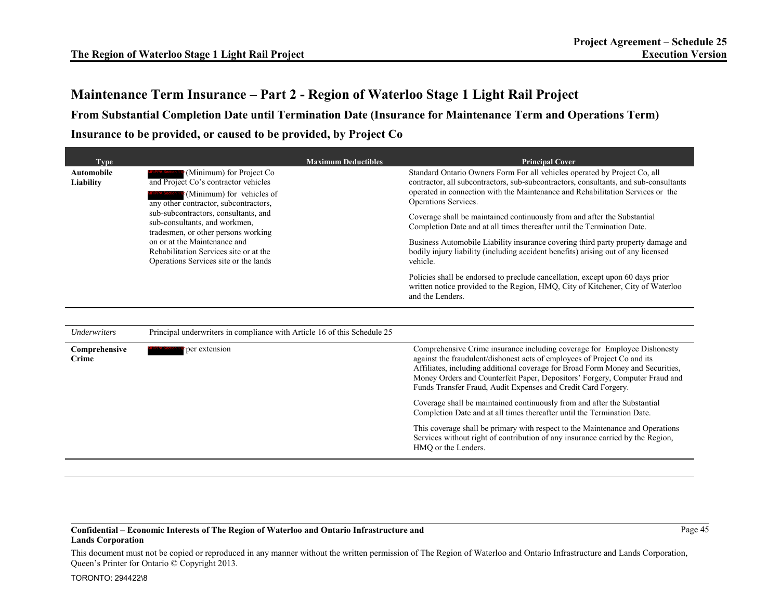**From Substantial Completion Date until Termination Date (Insurance for Maintenance Term and Operations Term) Insurance to be provided, or caused to be provided, by Project Co** 

| <b>Type</b><br><b>Automobile</b><br><sup>c</sup> (Minimum) for Project Co<br>and Project Co's contractor vehicles<br>Liability<br>$\epsilon$ (Minimum) for vehicles of<br>any other contractor, subcontractors, | <b>Maximum Deductibles</b>                                                                                      | <b>Principal Cover</b><br>Standard Ontario Owners Form For all vehicles operated by Project Co, all<br>contractor, all subcontractors, sub-subcontractors, consultants, and sub-consultants<br>operated in connection with the Maintenance and Rehabilitation Services or the<br>Operations Services.                                                                                  |
|-----------------------------------------------------------------------------------------------------------------------------------------------------------------------------------------------------------------|-----------------------------------------------------------------------------------------------------------------|----------------------------------------------------------------------------------------------------------------------------------------------------------------------------------------------------------------------------------------------------------------------------------------------------------------------------------------------------------------------------------------|
|                                                                                                                                                                                                                 | sub-subcontractors, consultants, and<br>sub-consultants, and workmen,<br>tradesmen, or other persons working    | Coverage shall be maintained continuously from and after the Substantial<br>Completion Date and at all times thereafter until the Termination Date.                                                                                                                                                                                                                                    |
|                                                                                                                                                                                                                 | on or at the Maintenance and<br>Rehabilitation Services site or at the<br>Operations Services site or the lands | Business Automobile Liability insurance covering third party property damage and<br>bodily injury liability (including accident benefits) arising out of any licensed<br>vehicle.                                                                                                                                                                                                      |
|                                                                                                                                                                                                                 |                                                                                                                 | Policies shall be endorsed to preclude cancellation, except upon 60 days prior<br>written notice provided to the Region, HMO, City of Kitchener, City of Waterloo<br>and the Lenders.                                                                                                                                                                                                  |
|                                                                                                                                                                                                                 |                                                                                                                 |                                                                                                                                                                                                                                                                                                                                                                                        |
| <b>Underwriters</b>                                                                                                                                                                                             | Principal underwriters in compliance with Article 16 of this Schedule 25                                        |                                                                                                                                                                                                                                                                                                                                                                                        |
| Comprehensive<br><b>Crime</b>                                                                                                                                                                                   | per extension                                                                                                   | Comprehensive Crime insurance including coverage for Employee Dishonesty<br>against the fraudulent/dishonest acts of employees of Project Co and its<br>Affiliates, including additional coverage for Broad Form Money and Securities,<br>Money Orders and Counterfeit Paper, Depositors' Forgery, Computer Fraud and<br>Funds Transfer Fraud, Audit Expenses and Credit Card Forgery. |
|                                                                                                                                                                                                                 |                                                                                                                 | Coverage shall be maintained continuously from and after the Substantial<br>Completion Date and at all times thereafter until the Termination Date.                                                                                                                                                                                                                                    |
|                                                                                                                                                                                                                 |                                                                                                                 | This coverage shall be primary with respect to the Maintenance and Operations<br>Services without right of contribution of any insurance carried by the Region,<br>HMO or the Lenders.                                                                                                                                                                                                 |

### **Confidential – Economic Interests of The Region of Waterloo and Ontario Infrastructure and Lands Corporation**